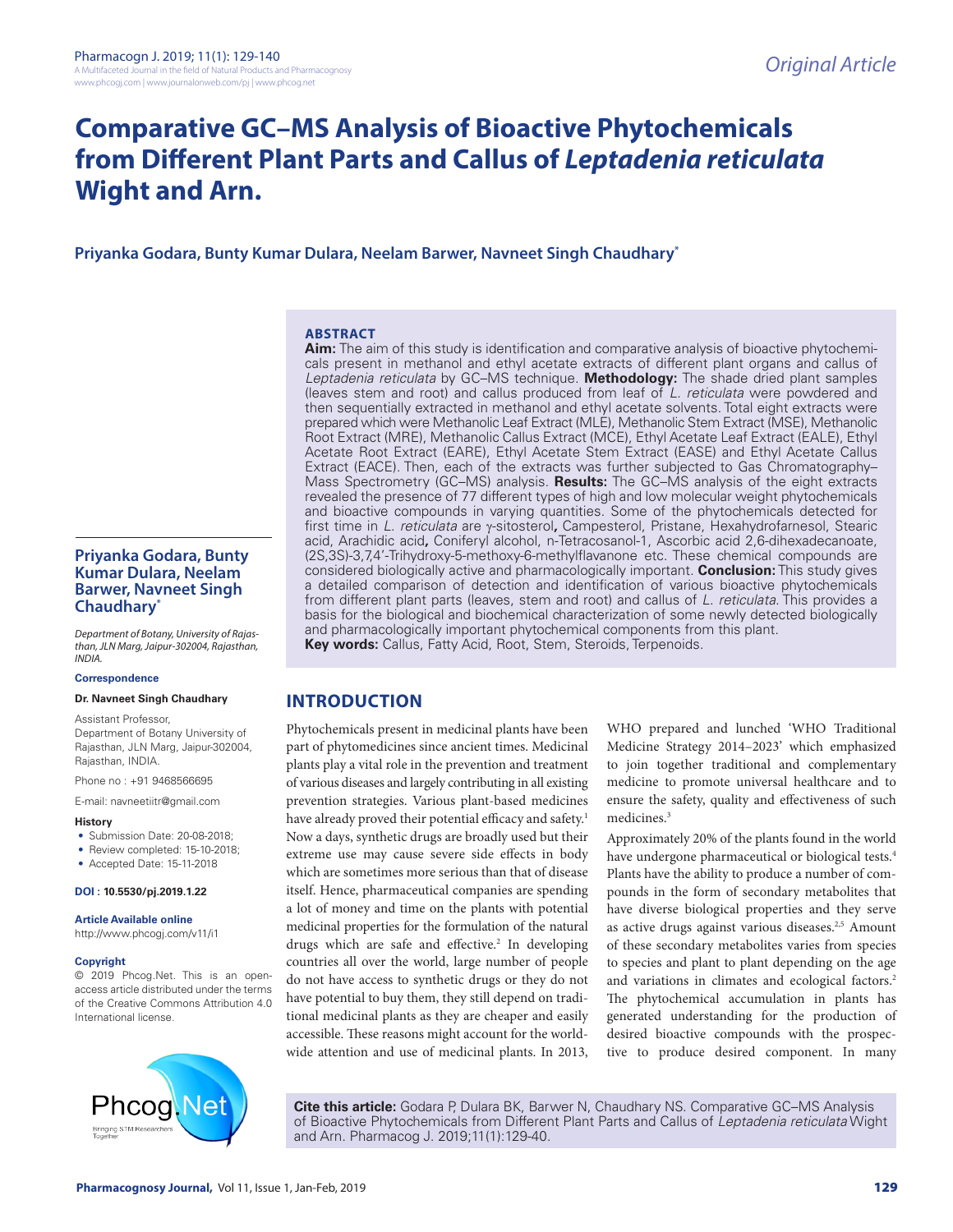# **Comparative GC–MS Analysis of Bioactive Phytochemicals from Different Plant Parts and Callus of** *Leptadenia reticulata*  **Wight and Arn.**

**Priyanka Godara, Bunty Kumar Dulara, Neelam Barwer, Navneet Singh Chaudhary\***

# **ABSTRACT**

**Aim:** The aim of this study is identification and comparative analysis of bioactive phytochemicals present in methanol and ethyl acetate extracts of different plant organs and callus of *Leptadenia reticulata* by GC–MS technique. **Methodology:** The shade dried plant samples (leaves stem and root) and callus produced from leaf of *L. reticulata* were powdered and then sequentially extracted in methanol and ethyl acetate solvents. Total eight extracts were prepared which were Methanolic Leaf Extract (MLE), Methanolic Stem Extract (MSE), Methanolic Root Extract (MRE), Methanolic Callus Extract (MCE), Ethyl Acetate Leaf Extract (EALE), Ethyl Acetate Root Extract (EARE), Ethyl Acetate Stem Extract (EASE) and Ethyl Acetate Callus Extract (EACE). Then, each of the extracts was further subjected to Gas Chromatography– Mass Spectrometry (GC–MS) analysis. **Results:** The GC–MS analysis of the eight extracts revealed the presence of 77 different types of high and low molecular weight phytochemicals and bioactive compounds in varying quantities. Some of the phytochemicals detected for first time in *L. reticulata* are γ-sitosterol**,** Campesterol, Pristane, Hexahydrofarnesol, Stearic acid, Arachidic acid**,** Coniferyl alcohol, n-Tetracosanol-1, Ascorbic acid 2,6-dihexadecanoate, (2S,3S)-3,7,4'-Trihydroxy-5-methoxy-6-methylflavanone etc. These chemical compounds are considered biologically active and pharmacologically important. **Conclusion:** This study gives a detailed comparison of detection and identification of various bioactive phytochemicals from different plant parts (leaves, stem and root) and callus of *L. reticulata*. This provides a basis for the biological and biochemical characterization of some newly detected biologically and pharmacologically important phytochemical components from this plant. **Key words:** Callus, Fatty Acid, Root, Stem, Steroids, Terpenoids.

# **INTRODUCTION**

Phytochemicals present in medicinal plants have been part of phytomedicines since ancient times. Medicinal plants play a vital role in the prevention and treatment of various diseases and largely contributing in all existing prevention strategies. Various plant-based medicines have already proved their potential efficacy and safety.<sup>1</sup> Now a days, synthetic drugs are broadly used but their extreme use may cause severe side effects in body which are sometimes more serious than that of disease itself. Hence, pharmaceutical companies are spending a lot of money and time on the plants with potential medicinal properties for the formulation of the natural drugs which are safe and effective.<sup>2</sup> In developing countries all over the world, large number of people do not have access to synthetic drugs or they do not have potential to buy them, they still depend on traditional medicinal plants as they are cheaper and easily accessible. These reasons might account for the worldwide attention and use of medicinal plants. In 2013,

WHO prepared and lunched 'WHO Traditional Medicine Strategy 2014–2023' which emphasized to join together traditional and complementary medicine to promote universal healthcare and to ensure the safety, quality and effectiveness of such medicines.<sup>3</sup>

Approximately 20% of the plants found in the world have undergone pharmaceutical or biological tests.<sup>4</sup> Plants have the ability to produce a number of compounds in the form of secondary metabolites that have diverse biological properties and they serve as active drugs against various diseases.<sup>2,5</sup> Amount of these secondary metabolites varies from species to species and plant to plant depending on the age and variations in climates and ecological factors.<sup>2</sup> The phytochemical accumulation in plants has generated understanding for the production of desired bioactive compounds with the prospective to produce desired component. In many

**Cite this article:** Godara P, Dulara BK, Barwer N, Chaudhary NS. Comparative GC–MS Analysis of Bioactive Phytochemicals from Different Plant Parts and Callus of *Leptadenia reticulata* Wight and Arn. Pharmacog J. 2019;11(1):129-40.

# **Priyanka Godara, Bunty Kumar Dulara, Neelam Barwer, Navneet Singh Chaudhary\***

*Department of Botany, University of Rajasthan, JLN Marg, Jaipur-302004, Rajasthan, INDIA.*

#### **Correspondence**

**Dr. Navneet Singh Chaudhary**

Assistant Professor, Department of Botany University of Rajasthan, JLN Marg, Jaipur-302004, Rajasthan, INDIA.

Phone no : +91 9468566695

E-mail: navneetiitr@gmail.com

#### **History**

- Submission Date: 20-08-2018;
- Review completed: 15-10-2018;
- Accepted Date: 15-11-2018

**DOI : 10.5530/pj.2019.1.22**

# **Article Available online**

http://www.phcogj.com/v11/i1

# **Copyright**

© 2019 Phcog.Net. This is an openaccess article distributed under the terms of the Creative Commons Attribution 4.0 International license.

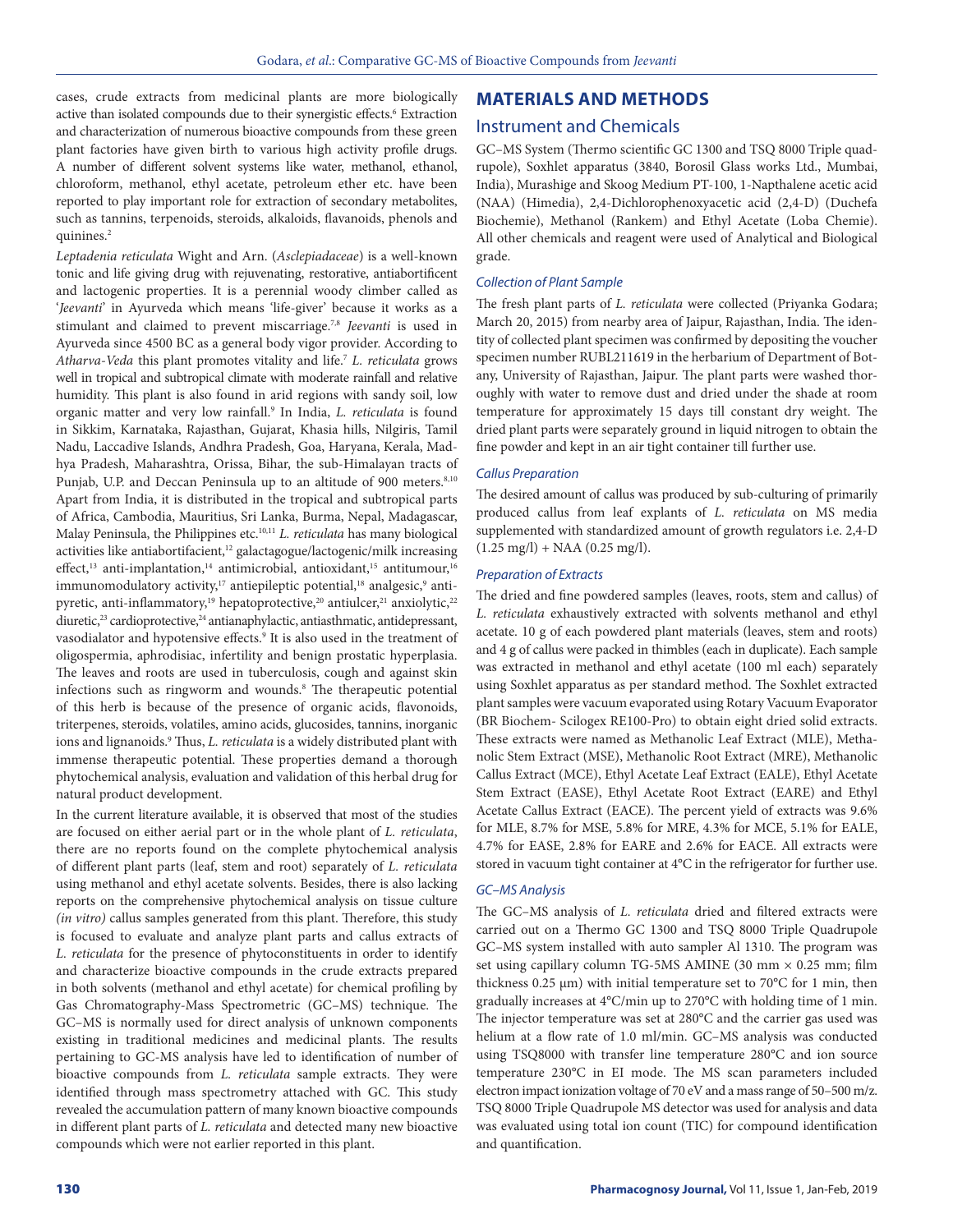cases, crude extracts from medicinal plants are more biologically active than isolated compounds due to their synergistic effects.<sup>6</sup> Extraction and characterization of numerous bioactive compounds from these green plant factories have given birth to various high activity profile drugs. A number of different solvent systems like water, methanol, ethanol, chloroform, methanol, ethyl acetate, petroleum ether etc. have been reported to play important role for extraction of secondary metabolites, such as tannins, terpenoids, steroids, alkaloids, flavanoids, phenols and quinines.<sup>2</sup>

*Leptadenia reticulata* Wight and Arn. (*Asclepiadaceae*) is a well-known tonic and life giving drug with rejuvenating, restorative, antiabortificent and lactogenic properties. It is a perennial woody climber called as '*Jeevanti*' in Ayurveda which means 'life-giver' because it works as a stimulant and claimed to prevent miscarriage.7,8 *Jeevanti* is used in Ayurveda since 4500 BC as a general body vigor provider. According to *Atharva-Veda* this plant promotes vitality and life.7 *L. reticulata* grows well in tropical and subtropical climate with moderate rainfall and relative humidity. This plant is also found in arid regions with sandy soil, low organic matter and very low rainfall.<sup>9</sup> In India, *L. reticulata* is found in Sikkim, Karnataka, Rajasthan, Gujarat, Khasia hills, Nilgiris, Tamil Nadu, Laccadive Islands, Andhra Pradesh, Goa, Haryana, Kerala, Madhya Pradesh, Maharashtra, Orissa, Bihar, the sub-Himalayan tracts of Punjab, U.P. and Deccan Peninsula up to an altitude of 900 meters.<sup>8,10</sup> Apart from India, it is distributed in the tropical and subtropical parts of Africa, Cambodia, Mauritius, Sri Lanka, Burma, Nepal, Madagascar, Malay Peninsula, the Philippines etc.10,11 *L. reticulata* has many biological activities like antiabortifacient,<sup>12</sup> galactagogue/lactogenic/milk increasing effect,<sup>13</sup> anti-implantation,<sup>14</sup> antimicrobial, antioxidant,<sup>15</sup> antitumour,<sup>16</sup> immunomodulatory activity,<sup>17</sup> antiepileptic potential,<sup>18</sup> analgesic,<sup>9</sup> antipyretic, anti-inflammatory,<sup>19</sup> hepatoprotective,<sup>20</sup> antiulcer,<sup>21</sup> anxiolytic,<sup>22</sup> diuretic,<sup>23</sup> cardioprotective,<sup>24</sup> antianaphylactic, antiasthmatic, antidepressant, vasodialator and hypotensive effects.<sup>9</sup> It is also used in the treatment of oligospermia, aphrodisiac, infertility and benign prostatic hyperplasia. The leaves and roots are used in tuberculosis, cough and against skin infections such as ringworm and wounds.<sup>8</sup> The therapeutic potential of this herb is because of the presence of organic acids, flavonoids, triterpenes, steroids, volatiles, amino acids, glucosides, tannins, inorganic ions and lignanoids.9 Thus, *L. reticulata* is a widely distributed plant with immense therapeutic potential. These properties demand a thorough phytochemical analysis, evaluation and validation of this herbal drug for natural product development.

In the current literature available, it is observed that most of the studies are focused on either aerial part or in the whole plant of *L. reticulata*, there are no reports found on the complete phytochemical analysis of different plant parts (leaf, stem and root) separately of *L. reticulata*  using methanol and ethyl acetate solvents. Besides, there is also lacking reports on the comprehensive phytochemical analysis on tissue culture *(in vitro)* callus samples generated from this plant. Therefore, this study is focused to evaluate and analyze plant parts and callus extracts of *L. reticulata* for the presence of phytoconstituents in order to identify and characterize bioactive compounds in the crude extracts prepared in both solvents (methanol and ethyl acetate) for chemical profiling by Gas Chromatography*-*Mass Spectrometric (GC–MS) technique. The GC–MS is normally used for direct analysis of unknown components existing in traditional medicines and medicinal plants. The results pertaining to GC-MS analysis have led to identification of number of bioactive compounds from *L. reticulata* sample extracts. They were identified through mass spectrometry attached with GC. This study revealed the accumulation pattern of many known bioactive compounds in different plant parts of *L. reticulata* and detected many new bioactive compounds which were not earlier reported in this plant.

# **MATERIALS AND METHODS**

# Instrument and Chemicals

GC–MS System (Thermo scientific GC 1300 and TSQ 8000 Triple quadrupole), Soxhlet apparatus (3840, Borosil Glass works Ltd., Mumbai, India), Murashige and Skoog Medium PT-100, 1-Napthalene acetic acid (NAA) (Himedia), 2,4-Dichlorophenoxyacetic acid (2,4-D) (Duchefa Biochemie), Methanol (Rankem) and Ethyl Acetate (Loba Chemie). All other chemicals and reagent were used of Analytical and Biological grade.

#### *Collection of Plant Sample*

The fresh plant parts of *L. reticulata* were collected (Priyanka Godara; March 20, 2015) from nearby area of Jaipur, Rajasthan, India. The identity of collected plant specimen was confirmed by depositing the voucher specimen number RUBL211619 in the herbarium of Department of Botany, University of Rajasthan, Jaipur. The plant parts were washed thoroughly with water to remove dust and dried under the shade at room temperature for approximately 15 days till constant dry weight. The dried plant parts were separately ground in liquid nitrogen to obtain the fine powder and kept in an air tight container till further use.

#### *Callus Preparation*

The desired amount of callus was produced by sub-culturing of primarily produced callus from leaf explants of *L. reticulata* on MS media supplemented with standardized amount of growth regulators i.e. 2,4-D  $(1.25 \text{ mg/l}) + \text{NAA} (0.25 \text{ mg/l}).$ 

#### *Preparation of Extracts*

The dried and fine powdered samples (leaves, roots, stem and callus) of *L. reticulata* exhaustively extracted with solvents methanol and ethyl acetate. 10 g of each powdered plant materials (leaves, stem and roots) and 4 g of callus were packed in thimbles (each in duplicate). Each sample was extracted in methanol and ethyl acetate (100 ml each) separately using Soxhlet apparatus as per standard method. The Soxhlet extracted plant samples were vacuum evaporated using Rotary Vacuum Evaporator (BR Biochem- Scilogex RE100-Pro) to obtain eight dried solid extracts. These extracts were named as Methanolic Leaf Extract (MLE), Methanolic Stem Extract (MSE), Methanolic Root Extract (MRE), Methanolic Callus Extract (MCE), Ethyl Acetate Leaf Extract (EALE), Ethyl Acetate Stem Extract (EASE), Ethyl Acetate Root Extract (EARE) and Ethyl Acetate Callus Extract (EACE). The percent yield of extracts was 9.6% for MLE, 8.7% for MSE, 5.8% for MRE, 4.3% for MCE, 5.1% for EALE, 4.7% for EASE, 2.8% for EARE and 2.6% for EACE. All extracts were stored in vacuum tight container at 4°C in the refrigerator for further use.

#### *GC–MS Analysis*

The GC–MS analysis of *L. reticulata* dried and filtered extracts were carried out on a Thermo GC 1300 and TSQ 8000 Triple Quadrupole GC–MS system installed with auto sampler Al 1310. The program was set using capillary column TG-5MS AMINE (30 mm  $\times$  0.25 mm; film thickness 0.25 μm) with initial temperature set to 70°C for 1 min, then gradually increases at 4°C/min up to 270°C with holding time of 1 min. The injector temperature was set at 280°C and the carrier gas used was helium at a flow rate of 1.0 ml/min. GC–MS analysis was conducted using TSQ8000 with transfer line temperature 280°C and ion source temperature 230°C in EI mode. The MS scan parameters included electron impact ionization voltage of 70 eV and a mass range of 50–500 m/z. TSQ 8000 Triple Quadrupole MS detector was used for analysis and data was evaluated using total ion count (TIC) for compound identification and quantification.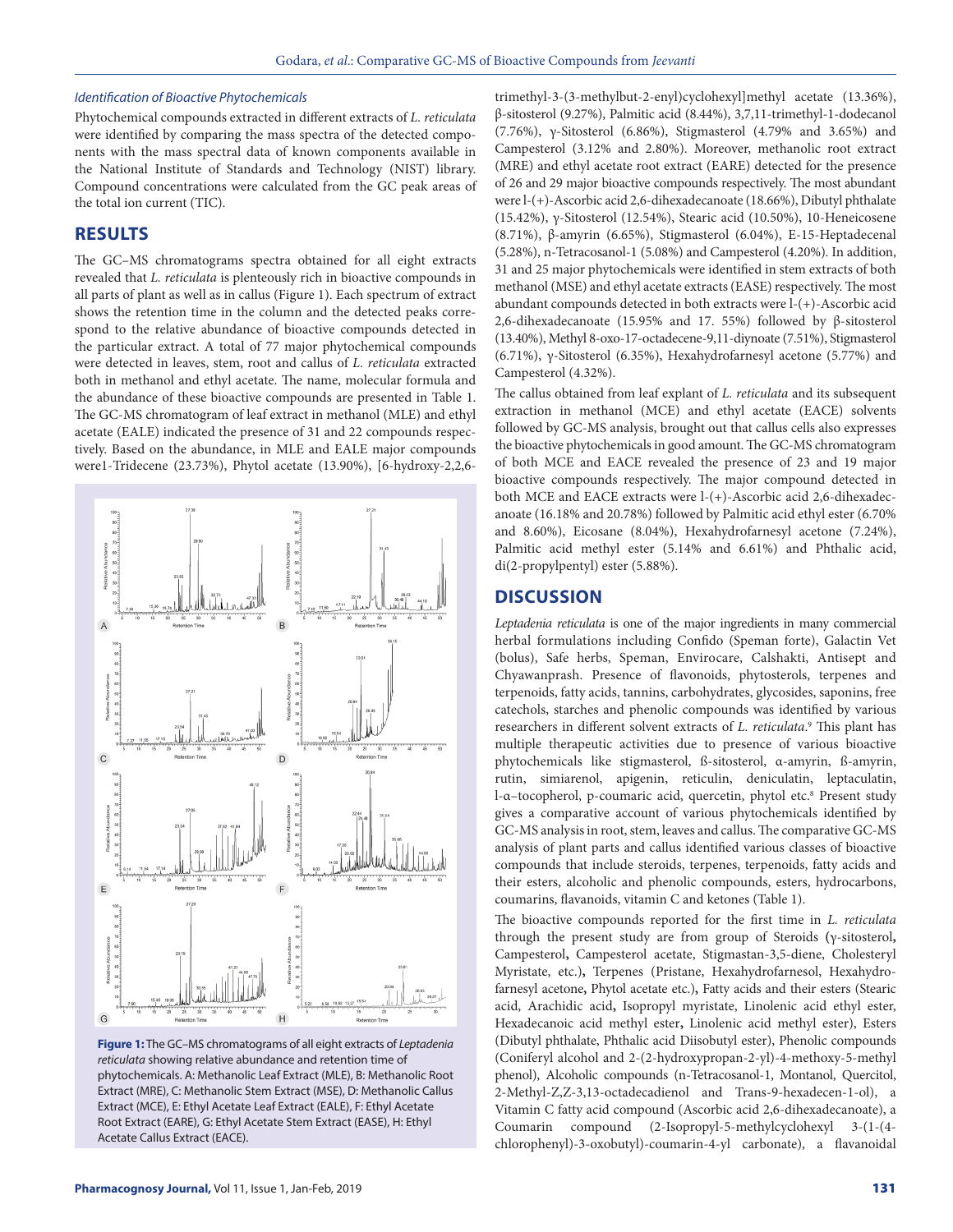### *Identification of Bioactive Phytochemicals*

Phytochemical compounds extracted in different extracts of *L. reticulata* were identified by comparing the mass spectra of the detected components with the mass spectral data of known components available in the National Institute of Standards and Technology (NIST) library. Compound concentrations were calculated from the GC peak areas of the total ion current (TIC).

# **RESULTS**

The GC–MS chromatograms spectra obtained for all eight extracts revealed that *L. reticulata* is plenteously rich in bioactive compounds in all parts of plant as well as in callus (Figure 1). Each spectrum of extract shows the retention time in the column and the detected peaks correspond to the relative abundance of bioactive compounds detected in the particular extract. A total of 77 major phytochemical compounds were detected in leaves, stem, root and callus of *L. reticulata* extracted both in methanol and ethyl acetate. The name, molecular formula and the abundance of these bioactive compounds are presented in Table 1. The GC-MS chromatogram of leaf extract in methanol (MLE) and ethyl acetate (EALE) indicated the presence of 31 and 22 compounds respectively. Based on the abundance, in MLE and EALE major compounds were1-Tridecene (23.73%), Phytol acetate (13.90%), [6-hydroxy-2,2,6-



**Figure 1:** The GC–MS chromatograms of all eight extracts of *Leptadenia reticulata* showing relative abundance and retention time of phytochemicals. A: Methanolic Leaf Extract (MLE), B: Methanolic Root Extract (MRE), C: Methanolic Stem Extract (MSE), D: Methanolic Callus Extract (MCE), E: Ethyl Acetate Leaf Extract (EALE), F: Ethyl Acetate Root Extract (EARE), G: Ethyl Acetate Stem Extract (EASE), H: Ethyl Acetate Callus Extract (EACE).

trimethyl-3-(3-methylbut-2-enyl)cyclohexyl]methyl acetate (13.36%), β-sitosterol (9.27%), Palmitic acid (8.44%), 3,7,11-trimethyl-1-dodecanol (7.76%), γ-Sitosterol (6.86%), Stigmasterol (4.79% and 3.65%) and Campesterol (3.12% and 2.80%). Moreover, methanolic root extract (MRE) and ethyl acetate root extract (EARE) detected for the presence of 26 and 29 major bioactive compounds respectively. The most abundant were l-(+)-Ascorbic acid 2,6-dihexadecanoate (18.66%), Dibutyl phthalate (15.42%), γ-Sitosterol (12.54%), Stearic acid (10.50%), 10-Heneicosene (8.71%), β-amyrin (6.65%), Stigmasterol (6.04%), E-15-Heptadecenal (5.28%), n-Tetracosanol-1 (5.08%) and Campesterol (4.20%). In addition, 31 and 25 major phytochemicals were identified in stem extracts of both methanol (MSE) and ethyl acetate extracts (EASE) respectively. The most abundant compounds detected in both extracts were l-(+)-Ascorbic acid 2,6-dihexadecanoate (15.95% and 17. 55%) followed by β-sitosterol (13.40%), Methyl 8-oxo-17-octadecene-9,11-diynoate (7.51%), Stigmasterol (6.71%), γ-Sitosterol (6.35%), Hexahydrofarnesyl acetone (5.77%) and Campesterol (4.32%).

The callus obtained from leaf explant of *L. reticulata* and its subsequent extraction in methanol (MCE) and ethyl acetate (EACE) solvents followed by GC-MS analysis, brought out that callus cells also expresses the bioactive phytochemicals in good amount. The GC-MS chromatogram of both MCE and EACE revealed the presence of 23 and 19 major bioactive compounds respectively. The major compound detected in both MCE and EACE extracts were l-(+)-Ascorbic acid 2,6-dihexadecanoate (16.18% and 20.78%) followed by Palmitic acid ethyl ester (6.70% and 8.60%), Eicosane (8.04%), Hexahydrofarnesyl acetone (7.24%), Palmitic acid methyl ester (5.14% and 6.61%) and Phthalic acid, di(2-propylpentyl) ester (5.88%).

# **DISCUSSION**

*Leptadenia reticulata* is one of the major ingredients in many commercial herbal formulations including Confido (Speman forte), Galactin Vet (bolus), Safe herbs, Speman, Envirocare, Calshakti, Antisept and Chyawanprash. Presence of flavonoids, phytosterols, terpenes and terpenoids, fatty acids, tannins, carbohydrates, glycosides, saponins, free catechols, starches and phenolic compounds was identified by various researchers in different solvent extracts of *L. reticulata*. 9 This plant has multiple therapeutic activities due to presence of various bioactive phytochemicals like stigmasterol, ß-sitosterol, α-amyrin, ß-amyrin, rutin, simiarenol, apigenin, reticulin, deniculatin, leptaculatin, l-α–tocopherol, p-coumaric acid, quercetin, phytol etc.8 Present study gives a comparative account of various phytochemicals identified by GC-MS analysis in root, stem, leaves and callus. The comparative GC-MS analysis of plant parts and callus identified various classes of bioactive compounds that include steroids, terpenes, terpenoids, fatty acids and their esters, alcoholic and phenolic compounds, esters, hydrocarbons, coumarins, flavanoids, vitamin C and ketones (Table 1).

The bioactive compounds reported for the first time in *L. reticulata* through the present study are from group of Steroids **(**γ-sitosterol**,**  Campesterol**,** Campesterol acetate, Stigmastan-3,5-diene, Cholesteryl Myristate, etc.)**,** Terpenes (Pristane, Hexahydrofarnesol, Hexahydrofarnesyl acetone**,** Phytol acetate etc.)**,** Fatty acids and their esters (Stearic acid, Arachidic acid**,** Isopropyl myristate, Linolenic acid ethyl ester, Hexadecanoic acid methyl ester**,** Linolenic acid methyl ester), Esters (Dibutyl phthalate, Phthalic acid Diisobutyl ester), Phenolic compounds (Coniferyl alcohol and 2-(2-hydroxypropan-2-yl)-4-methoxy-5-methyl phenol), Alcoholic compounds (n-Tetracosanol-1, Montanol, Quercitol, 2-Methyl-Z,Z-3,13-octadecadienol and Trans-9-hexadecen-1-ol), a Vitamin C fatty acid compound (Ascorbic acid 2,6-dihexadecanoate), a Coumarin compound (2-Isopropyl-5-methylcyclohexyl 3-(1-(4 chlorophenyl)-3-oxobutyl)-coumarin-4-yl carbonate), a flavanoidal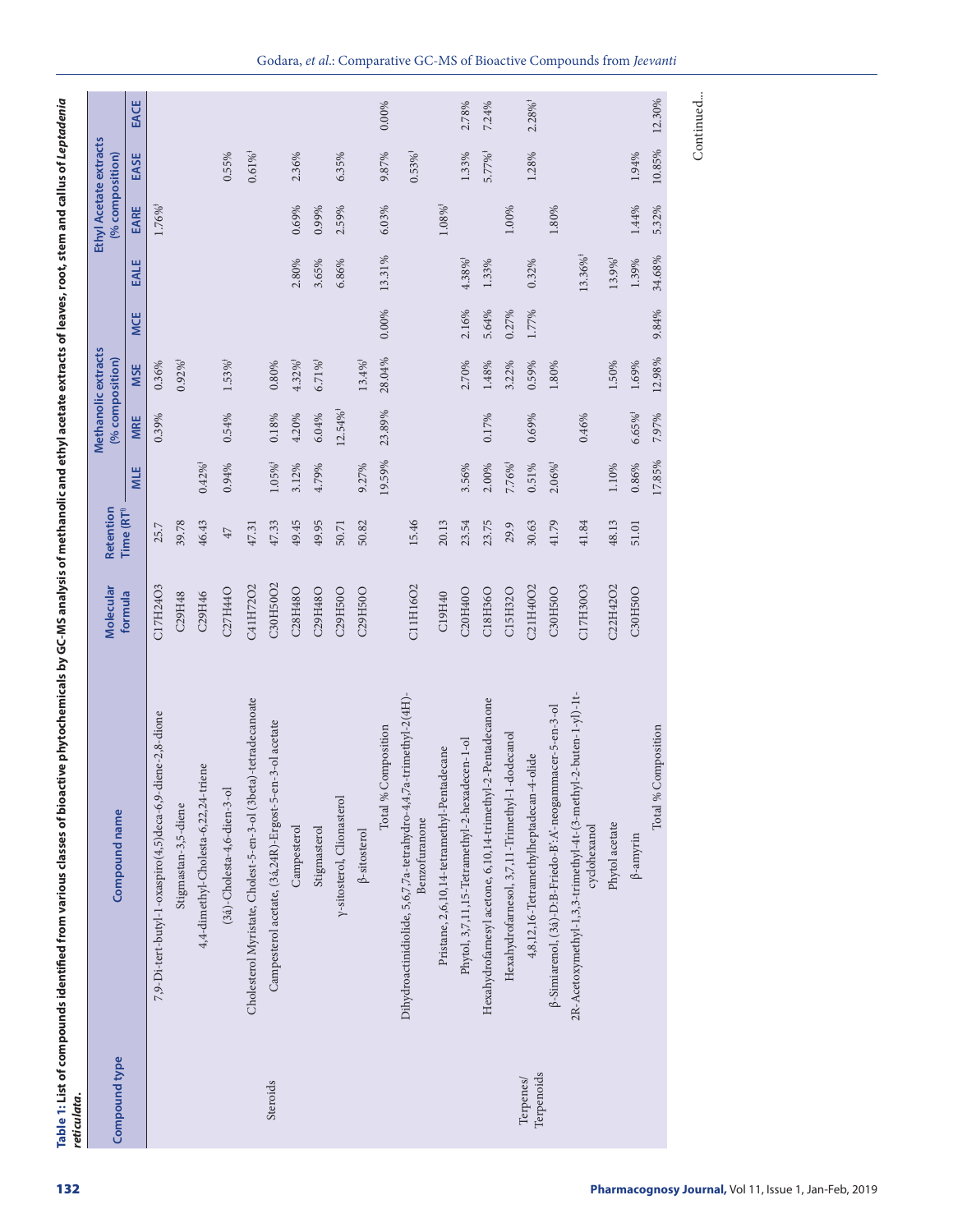| 7,9-Di-tert-butyl-1-oxaspiro(4,5)deca-6,9-                                         |                 | Molecular<br>formula | Retention<br>Time (RT <sup>1)</sup> |                       | (% composition)        | Methanolic extracts   |       |                        | Ethyl Acetate extracts<br>% composition) |                       |                       |
|------------------------------------------------------------------------------------|-----------------|----------------------|-------------------------------------|-----------------------|------------------------|-----------------------|-------|------------------------|------------------------------------------|-----------------------|-----------------------|
|                                                                                    |                 |                      |                                     | MLE                   | MRE                    | <b>MSE</b>            | MCE   | EALE                   | EARE                                     | EASE                  | EACE                  |
|                                                                                    | diene-2,8-dione | C17H24O3             | 25.7                                |                       | 0.39%                  | $0.36\%$              |       |                        | 1.76%                                    |                       |                       |
| Stigmastan-3,5-diene                                                               |                 | C29H48               | 39.78                               |                       |                        | $0.92\%$ <sup>†</sup> |       |                        |                                          |                       |                       |
| 4,4-dimethyl-Cholesta-6,22,24-triene                                               |                 | C29H46               | 46.43                               | $0.42\%$ <sup>†</sup> |                        |                       |       |                        |                                          |                       |                       |
| $(34)$ -Cholesta-4,6-dien-3-ol                                                     |                 | C27H44O              | $47\,$                              | 0.94%                 | 0.54%                  | $1.53\%$ <sup>†</sup> |       |                        |                                          | 0.55%                 |                       |
| Cholesterol Myristate, Cholest-5-en-3-ol (3beta)-tetradecanoate                    |                 | C41H72O2             | 47.31                               |                       |                        |                       |       |                        |                                          | $0.61\%$ <sup>†</sup> |                       |
| Campesterol acetate, (3á,24R)-Ergost-5-<br>Steroids                                | en-3-ol acetate | C30H50O2             | 47.33                               | $1.05\%$ <sup>†</sup> | $0.18\%$               | $0.80\%$              |       |                        |                                          |                       |                       |
| Campesterol                                                                        |                 | C28H48O              | 49.45                               | 3.12%                 | 4.20%                  | $4.32\%$ <sup>†</sup> |       | 2.80%                  | 0.69%                                    | 2.36%                 |                       |
| Stigmasterol                                                                       |                 | C29H48O              | 49.95                               | 4.79%                 | 6.04%                  | $6.71\%$ <sup>†</sup> |       | 3.65%                  | 0.99%                                    |                       |                       |
| y-sitosterol, Clionasterol                                                         |                 | C29H50O              | 50.71                               |                       | $12.54\%$ <sup>†</sup> |                       |       | 6.86%                  | 2.59%                                    | 6.35%                 |                       |
| $\beta$ -sitosterol                                                                |                 | C29H50O              | 50.82                               | 9.27%                 |                        | $13.4\%$ <sup>1</sup> |       |                        |                                          |                       |                       |
| Total %                                                                            | Composition     |                      |                                     | 19.59%                | 23.89%                 | 28.04%                | 0.00% | 13.31%                 | 6.03%                                    | 9.87%                 | 0.00%                 |
| Dihydroactinidiolide, 5,6,7,7a-tetrahydro-4,4,7a-trimethyl-2(4H).<br>Benzofuranone |                 | C11H16O2             | 15.46                               |                       |                        |                       |       |                        |                                          | $0.53\%$ <sup>†</sup> |                       |
| Pristane, 2,6,10,14-tetramethyl-Pentadecane                                        |                 | C19H40               | 20.13                               |                       |                        |                       |       |                        | $1.08\%$ <sup>†</sup>                    |                       |                       |
| Phytol, 3,7,11,15-Tetramethyl-2-hexadecen-1-ol                                     |                 | C20H40O              | 23.54                               | 3.56%                 |                        | 2.70%                 | 2.16% | $4.38\%$ <sup>†</sup>  |                                          | 1.33%                 | 2.78%                 |
| Hexahydrofarnesyl acetone, 6,10,14-trimethyl-2-Pentadecanone                       |                 | C18H36O              | 23.75                               | 2.00%                 | 0.17%                  | $1.48\%$              | 5.64% | 1.33%                  |                                          | $5.77\%$ <sup>†</sup> | 7.24%                 |
| Hexahydrofarnesol, 3,7,11-Trimethyl-                                               | 1-dodecanol     | C15H32O              | 29.9                                | 7.76%                 |                        | 3.22%                 | 0.27% |                        | 1.00%                                    |                       |                       |
| 4,8,12,16-Tetramethylheptadecan-4-olide<br>Terpenoids<br>Terpenes/                 |                 | C21H40O2             | 30.63                               | $0.51\%$              | 0.69%                  | $0.59\%$              | 1.77% | 0.32%                  |                                          | 1.28%                 | $2.28\%$ <sup>†</sup> |
| β-Simiarenol, (3á)-D:B-Friedo-B':A'-neogammacer-5-en-3-ol                          |                 | C30H50O              | 41.79                               | $2.06\%$ <sup>1</sup> |                        | $1.80\%$              |       |                        | $1.80\%$                                 |                       |                       |
| 2R-Acetoxymethyl-1,3,3-trimethyl-4t-(3-methyl-2-buten-1-yl)-1t-<br>cyclohexanol    |                 | C17H30O3             | 41.84                               |                       | 0.46%                  |                       |       | $13.36\%$ <sup>†</sup> |                                          |                       |                       |
| Phytol acetate                                                                     |                 | C22H42O2             | 48.13                               | 1.10%                 |                        | 1.50%                 |       | $13.9\%$ <sup>†</sup>  |                                          |                       |                       |
| $\beta$ -amyrin                                                                    |                 | C30H50O              | $51.01\,$                           | 0.86%                 | $6.65\%$ <sup>†</sup>  | 1.69%                 |       | 1.39%                  | 1.44%                                    | 1.94%                 |                       |
| Total %                                                                            | Composition     |                      |                                     | 17.85%                | 7.97%                  | 12.98%                | 9.84% | 34.68%                 | 5.32%                                    | $10.85\%$             | 12.30%                |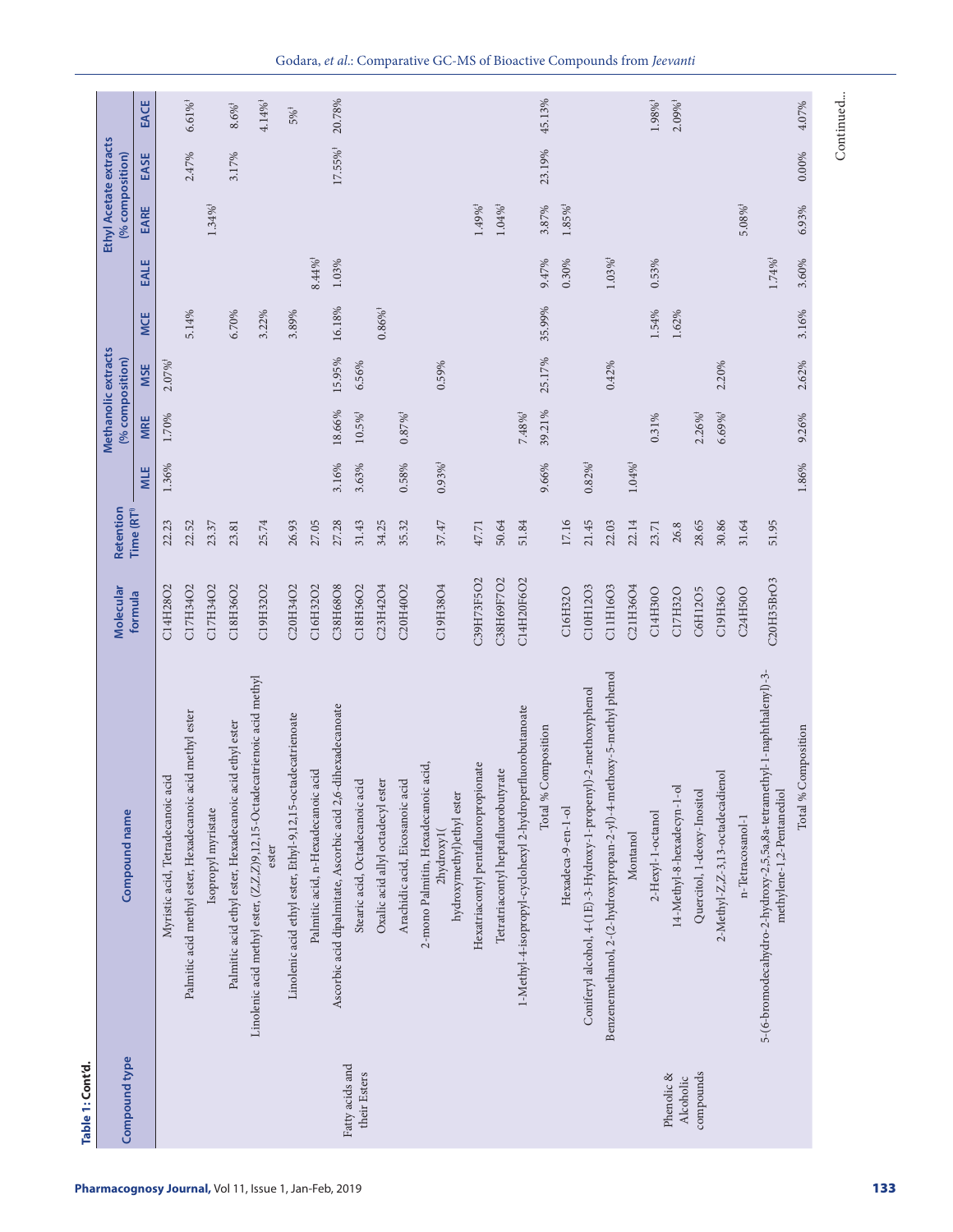| Compound type                   | Compound name                                                                                       | Molecular  | Retention              |                       |                       | Methanolic extracts<br>(% composition) |                       |                       | Ethyl Acetate extracts<br>% composition) |                        |                       |
|---------------------------------|-----------------------------------------------------------------------------------------------------|------------|------------------------|-----------------------|-----------------------|----------------------------------------|-----------------------|-----------------------|------------------------------------------|------------------------|-----------------------|
|                                 |                                                                                                     | formula    | Time (RT <sup>+)</sup> | MLE                   | <b>MRE</b>            | <b>MSE</b>                             | <b>MCE</b>            | EALE                  | EARE                                     | EASE                   | EACE                  |
|                                 | Myristic acid, Tetradecanoic acid                                                                   | C14H28O2   | 22.23                  | 1.36%                 | 1.70%                 | $2.07\%$ <sup>1</sup>                  |                       |                       |                                          |                        |                       |
|                                 | Palmitic acid methyl ester, Hexadecanoic acid methyl ester                                          | C17H34O2   | 22.52                  |                       |                       |                                        | 5.14%                 |                       |                                          | 2.47%                  | $6.61\%$ <sup>†</sup> |
|                                 | Isopropyl myristate                                                                                 | C17H34O2   | 23.37                  |                       |                       |                                        |                       |                       | $1.34\%$ <sup>†</sup>                    |                        |                       |
|                                 | Palmitic acid ethyl ester, Hexadecanoic acid ethyl ester                                            | C18H36O2   | 23.81                  |                       |                       |                                        | 6.70%                 |                       |                                          | 3.17%                  | $8.6\%$ <sup>†</sup>  |
|                                 | Linolenic acid methyl ester, (Z,Z,Z)9,12,15-Octadecatrienoic acid methyl<br>ester                   | C19H32O2   | 25.74                  |                       |                       |                                        | 3.22%                 |                       |                                          |                        | $4.14\%$ <sup>†</sup> |
|                                 | Linolenic acid ethyl ester, Ethyl-9,12,15-octadecatrienoate                                         | C20H34O2   | 26.93                  |                       |                       |                                        | 3.89%                 |                       |                                          |                        | $5\%$ <sup>+</sup>    |
|                                 | Palmitic acid, n-Hexadecanoic acid                                                                  | C16H32O2   | 27.05                  |                       |                       |                                        |                       | $8.44\%^\dagger$      |                                          |                        |                       |
|                                 | Ascorbic acid dipalmitate, Ascorbic acid 2,6-dihexadecanoate                                        | C38H68O8   | 27.28                  | 3.16%                 | 18.66%                | 15.95%                                 | 16.18%                | $1.03\%$              |                                          | $17.55\%$ <sup>†</sup> | 20.78%                |
| Fatty acids and<br>their Esters | Stearic acid, Octadecanoic acid                                                                     | C18H36O2   | 31.43                  | 3.63%                 | $10.5\%$ <sup>†</sup> | 6.56%                                  |                       |                       |                                          |                        |                       |
|                                 | Oxalic acid allyl octadecyl ester                                                                   | C23H42O4   | 34.25                  |                       |                       |                                        | $0.86\%$ <sup>†</sup> |                       |                                          |                        |                       |
|                                 | Arachidic acid, Eicosanoic acid                                                                     | C20H40O2   | 35.32                  | 0.58%                 | $0.87\%$ <sup>†</sup> |                                        |                       |                       |                                          |                        |                       |
|                                 | 2-mono Palmitin, Hexadecanoic acid,<br>hydroxymethyl) ethyl ester<br>2hydroxy1(                     | C19H38O4   | 37.47                  | $0.93\%$ <sup>1</sup> |                       | $0.59\%$                               |                       |                       |                                          |                        |                       |
|                                 | Hexatriacontyl pentafluoropropionate                                                                | C39H73F5O2 | 47.71                  |                       |                       |                                        |                       |                       | $1.49\%$ <sup>†</sup>                    |                        |                       |
|                                 | Tetratriacontyl heptafluorobutyrate                                                                 | C38H69F7O2 | 50.64                  |                       |                       |                                        |                       |                       | $1.04\%^\dagger$                         |                        |                       |
|                                 | 1-Methyl-4-isopropyl-cyclohexyl 2-hydroperfluorobutanoate                                           | C14H20F6O2 | 51.84                  |                       | $7.48\%$ <sup>†</sup> |                                        |                       |                       |                                          |                        |                       |
|                                 | Total % Composition                                                                                 |            |                        | 9.66%                 | 39.21%                | 25.17%                                 | 35.99%                | 9.47%                 | 3.87%                                    | 23.19%                 | 45.13%                |
|                                 | Hexadeca-9-en-1-ol                                                                                  | C16H32O    | 17.16                  |                       |                       |                                        |                       | $0.30\%$              | $1.85\%$ <sup>†</sup>                    |                        |                       |
|                                 | Coniferyl alcohol, 4-(1E)-3-Hydroxy-1-propenyl)-2-methoxyphenol                                     | C10H12O3   | 21.45                  | $0.82\%$ <sup>†</sup> |                       |                                        |                       |                       |                                          |                        |                       |
|                                 | Benzenemethanol, 2-(2-hydroxypropan-2-yl)-4-methoxy-5-methyl phenol                                 | C11H16O3   | 22.03                  |                       |                       | 0.42%                                  |                       | $1.03\%$ <sup>†</sup> |                                          |                        |                       |
|                                 | Montanol                                                                                            | C21H36O4   | 22.14                  | $1.04\%^\dagger$      |                       |                                        |                       |                       |                                          |                        |                       |
|                                 | 2-Hexyl-1-octanol                                                                                   | C14H30O    | 23.71                  |                       | 0.31%                 |                                        | 1.54%                 | 0.53%                 |                                          |                        | $1.98\%$ <sup>†</sup> |
| Phenolic &<br>Alcoholic         | 14-Methyl-8-hexadecyn-1-ol                                                                          | C17H32O    | 26.8                   |                       |                       |                                        | 1.62%                 |                       |                                          |                        | $2.09\%$ <sup>†</sup> |
| compounds                       | Quercitol, 1-deoxy-Inositol                                                                         | C6H12O5    | 28.65                  |                       | $2.26\%$ <sup>†</sup> |                                        |                       |                       |                                          |                        |                       |
|                                 | 2-Methyl-Z,Z-3,13-octadecadienol                                                                    | C19H36O    | 30.86                  |                       | $6.69\%$ <sup>†</sup> | 2.20%                                  |                       |                       |                                          |                        |                       |
|                                 | n-Tetracosanol-1                                                                                    | C24H50O    | 31.64                  |                       |                       |                                        |                       |                       | $5.08\%$ <sup>†</sup>                    |                        |                       |
|                                 | 5-(6-bromodecahydro-2-hydroxy-2,5,5a,8a-tetramethyl-1-naphthalenyl)-3-<br>methylene-1,2-Pentanediol | C20H35BrO3 | 51.95                  |                       |                       |                                        |                       | $1.74\%$ <sup>†</sup> |                                          |                        |                       |
|                                 | Total % Composition                                                                                 |            |                        | 1.86%                 | 9.26%                 | 2.62%                                  | 3.16%                 | 3.60%                 | 6.93%                                    | 0.00%                  | 4.07%                 |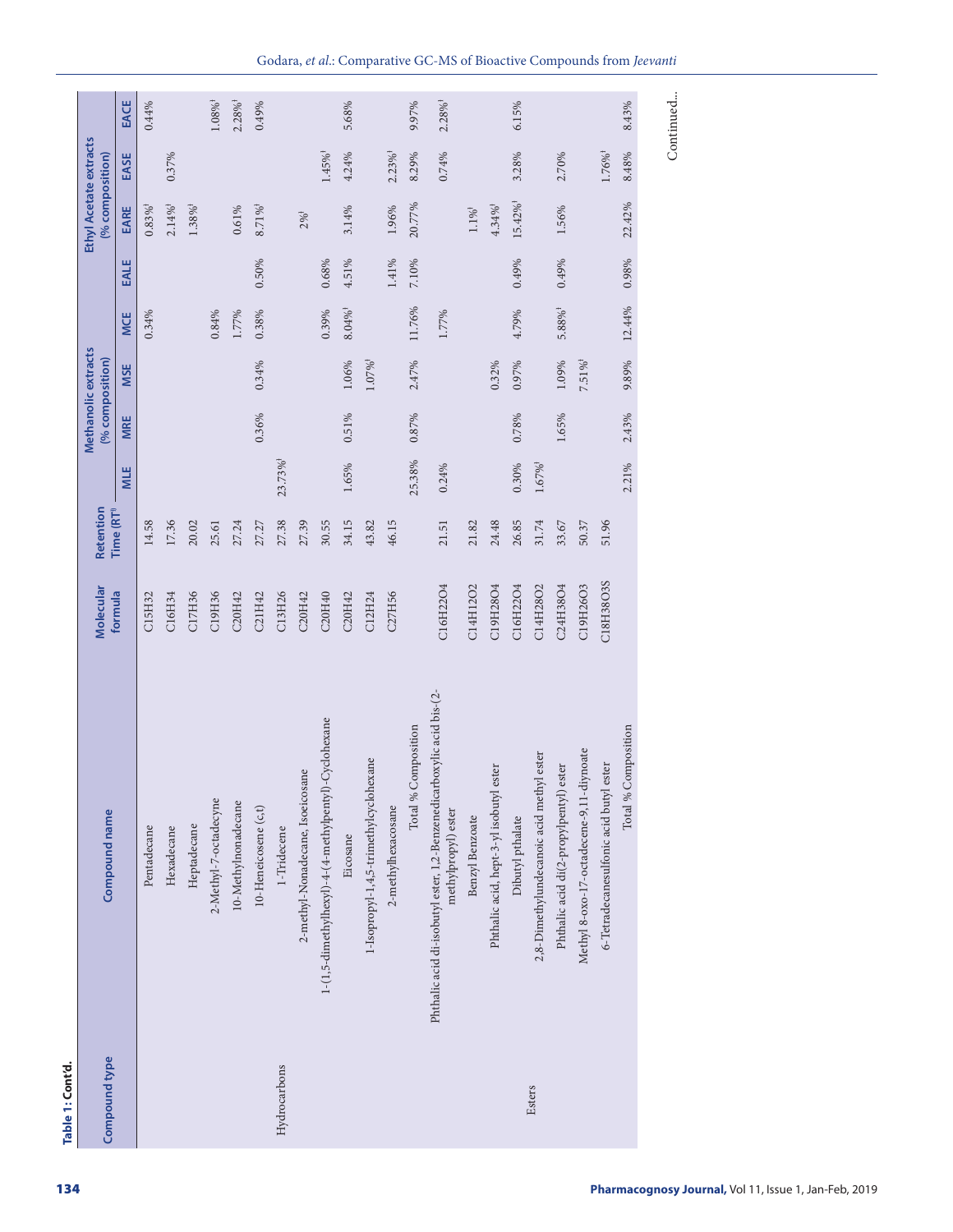| Compound type | Compound name                                                                                | Molecular | Retention              |                        |            | Methanolic extracts<br>(% composition) |                   |             | Ethyl Acetate extracts<br>(% composition) |                       |                       |
|---------------|----------------------------------------------------------------------------------------------|-----------|------------------------|------------------------|------------|----------------------------------------|-------------------|-------------|-------------------------------------------|-----------------------|-----------------------|
|               |                                                                                              | formula   | Time (RT <sup>1)</sup> | <b>MLE</b>             | <b>MRE</b> | <b>MSE</b>                             | <b>MCE</b>        | <b>EALE</b> | EARE                                      | EASE                  | EACE                  |
|               | Pentadecane                                                                                  | C15H32    | 14.58                  |                        |            |                                        | $0.34\%$          |             | $0.83\%$ <sup>†</sup>                     |                       | 0.44%                 |
|               | Hexadecane                                                                                   | C16H34    | 17.36                  |                        |            |                                        |                   |             | $2.14\%$ <sup>†</sup>                     | 0.37%                 |                       |
|               | Heptadecane                                                                                  | C17H36    | 20.02                  |                        |            |                                        |                   |             | $1.38\%$ <sup>†</sup>                     |                       |                       |
|               | 2-Methyl-7-octadecyne                                                                        | C19H36    | 25.61                  |                        |            |                                        | 0.84%             |             |                                           |                       | $1.08\%^\dagger$      |
|               | 10-Methylnonadecane                                                                          | C20H42    | 27.24                  |                        |            |                                        | 1.77%             |             | 0.61%                                     |                       | $2.28\%$ <sup>†</sup> |
|               | $10$ -Heneicosene $\left( c,t\right)$                                                        | C21H42    | 27.27                  |                        | 0.36%      | 0.34%                                  | $0.38\%$          | $0.50\%$    | $8.71\%$ <sup>†</sup>                     |                       | 0.49%                 |
| Hydrocarbons  | 1-Tridecene                                                                                  | C13H26    | 27.38                  | $23.73\%$ <sup>†</sup> |            |                                        |                   |             |                                           |                       |                       |
|               | 2-methyl-Nonadecane, Isoeicosane                                                             | C20H42    | 27.39                  |                        |            |                                        |                   |             | $2\%^{1}$                                 |                       |                       |
|               | 1-(1,5-dimethylhexyl)-4-(4-methylpentyl)-Cyclohexane                                         | C20H40    | 30.55                  |                        |            |                                        | 0.39%             | $0.68\%$    |                                           | $1.45\%$ <sup>†</sup> |                       |
|               | Eicosane                                                                                     | C20H42    | 34.15                  | 1.65%                  | 0.51%      | $1.06\%$                               | $8.04\%^\ddagger$ | 4.51%       | 3.14%                                     | 4.24%                 | 5.68%                 |
|               | 1-Isopropyl-1,4,5-trimethylcyclohexane                                                       | C12H24    | 43.82                  |                        |            | $1.07\%$ <sup>†</sup>                  |                   |             |                                           |                       |                       |
|               | 2-methylhexacosane                                                                           | C27H56    | 46.15                  |                        |            |                                        |                   | $1.41\%$    | 1.96%                                     | $2.23\%$ <sup>†</sup> |                       |
|               | Total % Composition                                                                          |           |                        | 25.38%                 | 0.87%      | 2.47%                                  | 11.76%            | $7.10\%$    | 20.77%                                    | 8.29%                 | 9.97%                 |
|               | Phthalic acid di-isobutyl ester, 1,2-Benzenedicarboxylic acid bis-(2-<br>methylpropyl) ester | C16H22O4  | 21.51                  | 0.24%                  |            |                                        | 1.77%             |             |                                           | 0.74%                 | $2.28\%$ <sup>†</sup> |
|               | Benzyl Benzoate                                                                              | C14H12O2  | 21.82                  |                        |            |                                        |                   |             | $1.1\%^\ddag$                             |                       |                       |
|               | ester<br>Phthalic acid, hept-3-yl isobutyl                                                   | C19H28O4  | 24.48                  |                        |            | 0.32%                                  |                   |             | $4.34\%$ <sup>†</sup>                     |                       |                       |
|               | Dibutyl pthalate                                                                             | C16H22O4  | 26.85                  | $0.30\%$               | 0.78%      | 0.97%                                  | 4.79%             | 0.49%       | $15.42\%$ <sup>†</sup>                    | 3.28%                 | 6.15%                 |
| Esters        | 2,8-Dimethylundecanoic acid methyl ester                                                     | C14H28O2  | 31.74                  | $1.67\%^\ddagger$      |            |                                        |                   |             |                                           |                       |                       |
|               | ) ester<br>Phthalic acid di(2-propylpentyl)                                                  | C24H38O4  | 33.67                  |                        | 1.65%      | $1.09\%$                               | $5.88\%^\dagger$  | 0.49%       | 1.56%                                     | 2.70%                 |                       |
|               | Methyl 8-oxo-17-octadecene-9,11-diynoate                                                     | C19H26O3  | 50.37                  |                        |            | $7.51\%$ <sup>†</sup>                  |                   |             |                                           |                       |                       |
|               | 6-Tetradecanesulfonic acid butyl ester                                                       | C18H38O3S | 51.96                  |                        |            |                                        |                   |             |                                           | $1.76\%$ <sup>†</sup> |                       |
|               | Total % Composition                                                                          |           |                        | 2.21%                  | 2.43%      | 9.89%                                  | 12.44%            | 0.98%       | 22.42%                                    | $8.48\%$              | 8.43%                 |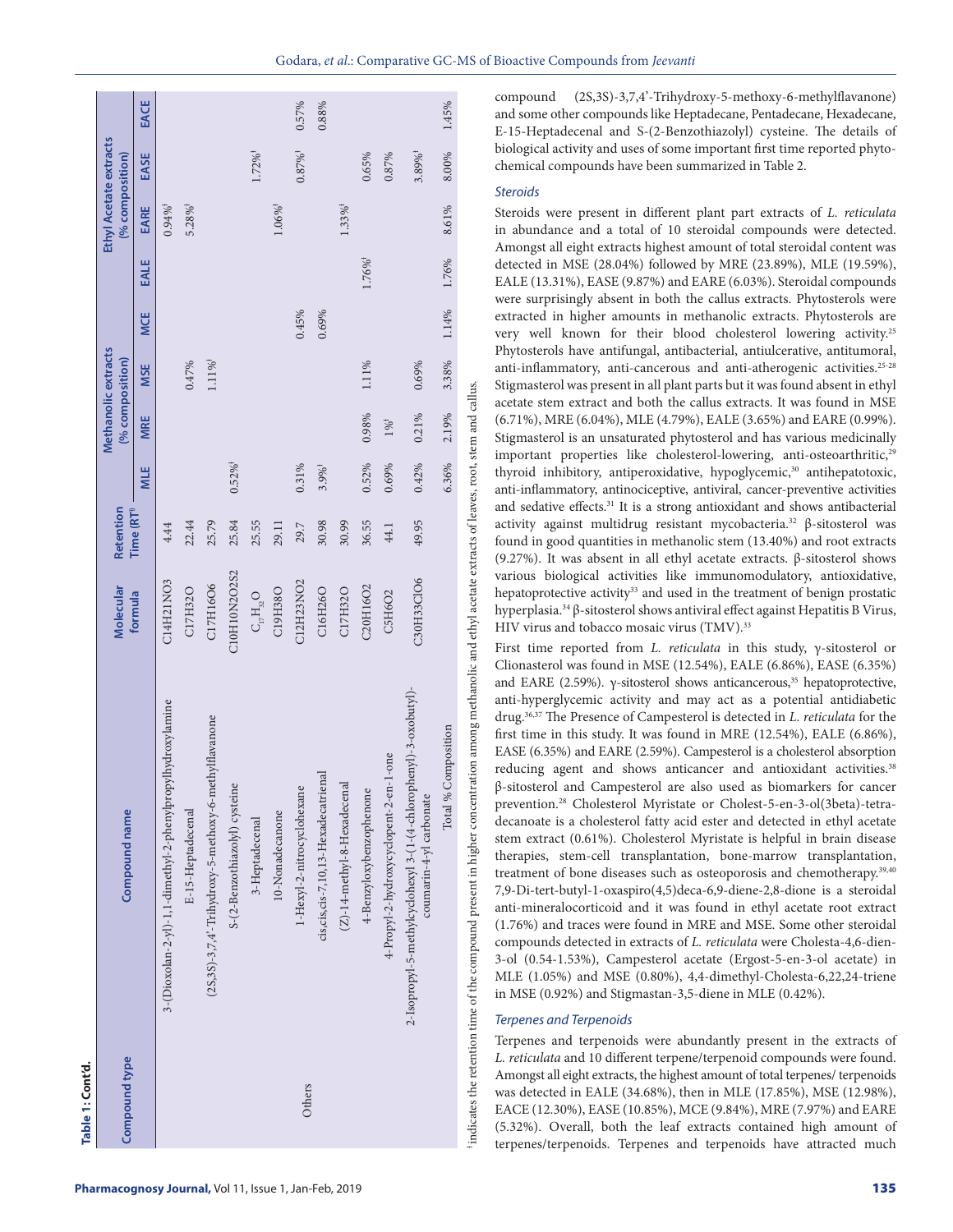|                                        |             |                                                            |                       |                                                       |                              |                                                                       |                  |                            |                                         |                                |                         |                                        |                                                                                              |                                | terpenes/terpenoids. Terpenes and terpenoids have attracted much                                                                                                                                                                                                                                                                                                                                                                                                                                                                                                                                                                                                                                                                                                                                                                                                                                                                                                                                                                                                                                                                                                                                                                                                                                                                                                                                                                                                                                        |
|----------------------------------------|-------------|------------------------------------------------------------|-----------------------|-------------------------------------------------------|------------------------------|-----------------------------------------------------------------------|------------------|----------------------------|-----------------------------------------|--------------------------------|-------------------------|----------------------------------------|----------------------------------------------------------------------------------------------|--------------------------------|---------------------------------------------------------------------------------------------------------------------------------------------------------------------------------------------------------------------------------------------------------------------------------------------------------------------------------------------------------------------------------------------------------------------------------------------------------------------------------------------------------------------------------------------------------------------------------------------------------------------------------------------------------------------------------------------------------------------------------------------------------------------------------------------------------------------------------------------------------------------------------------------------------------------------------------------------------------------------------------------------------------------------------------------------------------------------------------------------------------------------------------------------------------------------------------------------------------------------------------------------------------------------------------------------------------------------------------------------------------------------------------------------------------------------------------------------------------------------------------------------------|
| Compound type                          |             |                                                            |                       |                                                       |                              |                                                                       |                  | Others                     |                                         |                                |                         |                                        |                                                                                              |                                | <b>Terpenes and Terpenoids</b><br>Terpenes and terpenoids were abundantly present in the extracts of<br>L. reticulata and 10 different terpene/terpenoid compounds were found.<br>Amongst all eight extracts, the highest amount of total terpenes/ terpenoids<br>was detected in EALE (34.68%), then in MLE (17.85%), MSE (12.98%),<br>EACE (12.30%), EASE (10.85%), MCE (9.84%), MRE (7.97%) and EARE<br>(5.32%). Overall, both the leaf extracts contained high amount of                                                                                                                                                                                                                                                                                                                                                                                                                                                                                                                                                                                                                                                                                                                                                                                                                                                                                                                                                                                                                            |
| Compound name                          |             | 3-(Dioxolan-2-yl)-1,1-dimethyl-2-phenylpropylhydroxylamine | E-15-Heptadecenal     | (2S,3S)-3,7,4'-Trihydroxy-5-methoxy-6-methylflavanone | S-(2-Benzothiazolyl) cystein | 3-Heptadecenal                                                        | 10-Nonadecanone  | 1-Hexyl-2-nitrocyclohexane | cis, cis, cis-7, 10, 13-Hexadecatrienal | $(Z)$ -14-methyl-8-Hexadecenal | 4-Benzyloxybenzophenone | 4-Propyl-2-hydroxycyclopent-2-en-1-one | 2-Isopropyl-5-methylcyclohexyl 3-(1-(4-chlorophenyl)-3-oxobutyl)-<br>coumarin-4-yl carbonate | Composition<br>Total $\%$ $\,$ | and EARE (2.59%). $\gamma$ -sitosterol shows anticancerous, <sup>35</sup> hepatoprotective,<br>anti-hyperglycemic activity and may act as a potential antidiabetic<br>drug. <sup>36,37</sup> The Presence of Campesterol is detected in <i>L. reticulata</i> for the<br>first time in this study. It was found in MRE (12.54%), EALE (6.86%),<br>EASE (6.35%) and EARE (2.59%). Campesterol is a cholesterol absorption<br>reducing agent and shows anticancer and antioxidant activities. <sup>38</sup><br>β-sitosterol and Campesterol are also used as biomarkers for cancer<br>prevention. <sup>28</sup> Cholesterol Myristate or Cholest-5-en-3-ol(3beta)-tetra-<br>decanoate is a cholesterol fatty acid ester and detected in ethyl acetate<br>stem extract (0.61%). Cholesterol Myristate is helpful in brain disease<br>therapies, stem-cell transplantation, bone-marrow transplantation,<br>treatment of bone diseases such as osteoporosis and chemotherapy. <sup>39,40</sup><br>7,9-Di-tert-butyl-1-oxaspiro(4,5)deca-6,9-diene-2,8-dione is a steroidal<br>anti-mineralocorticoid and it was found in ethyl acetate root extract<br>(1.76%) and traces were found in MRE and MSE. Some other steroidal<br>compounds detected in extracts of L. reticulata were Cholesta-4,6-dien-<br>3-ol (0.54-1.53%), Campesterol acetate (Ergost-5-en-3-ol acetate) in<br>MLE (1.05%) and MSE (0.80%), 4,4-dimethyl-Cholesta-6,22,24-triene<br>in MSE (0.92%) and Stigmastan-3,5-diene in MLE (0.42%). |
| Molecular<br>formula                   |             | C14H21NO3                                                  | C17H32O               | C17H16O6                                              | C10H10N2O2S2                 | $\mathsf{C}^{}_{\mathsf{I}_7}\!\mathsf{H}^{}_{\mathsf{32}}\mathsf{O}$ | C19H38O          | C12H23NO2                  | C16H26O                                 | C17H32O                        | C20H16O2                | C5H6O2                                 | C30H33ClO6                                                                                   |                                | various biological activities like immunomodulatory, antioxidative,<br>hepatoprotective activity <sup>33</sup> and used in the treatment of benign prostatic<br>hyperplasia. <sup>34</sup> $\beta$ -sitosterol shows antiviral effect against Hepatitis B Virus,<br>HIV virus and tobacco mosaic virus (TMV). <sup>33</sup><br>First time reported from $L$ . <i>reticulata</i> in this study, $\gamma$ -sitosterol or<br>Clionasterol was found in MSE (12.54%), EALE (6.86%), EASE (6.35%)                                                                                                                                                                                                                                                                                                                                                                                                                                                                                                                                                                                                                                                                                                                                                                                                                                                                                                                                                                                                            |
| Retention<br>Time (RT <sup>1)</sup>    |             | 4.44                                                       | 22.44                 | 25.79                                                 | 25.84                        | 25.55                                                                 | 29.11            | 29.7                       | 30.98                                   | 30.99                          | 36.55                   | 44.1                                   | 49.95                                                                                        |                                | activity against multidrug resistant mycobacteria. <sup>32</sup> $\beta$ -sitosterol was<br>found in good quantities in methanolic stem (13.40%) and root extracts<br>(9.27%). It was absent in all ethyl acetate extracts. $\beta$ -sitosterol shows                                                                                                                                                                                                                                                                                                                                                                                                                                                                                                                                                                                                                                                                                                                                                                                                                                                                                                                                                                                                                                                                                                                                                                                                                                                   |
|                                        | <b>MLE</b>  |                                                            |                       |                                                       | $0.52\%$ <sup>†</sup>        |                                                                       |                  | 0.31%                      | $3.9\%$ <sup>†</sup>                    |                                | 0.52%                   | 0.69%                                  | 0.42%                                                                                        | 6.36%                          | thyroid inhibitory, antiperoxidative, hypoglycemic, <sup>30</sup> antihepatotoxic,<br>anti-inflammatory, antinociceptive, antiviral, cancer-preventive activities<br>and sedative effects. <sup>31</sup> It is a strong antioxidant and shows antibacterial                                                                                                                                                                                                                                                                                                                                                                                                                                                                                                                                                                                                                                                                                                                                                                                                                                                                                                                                                                                                                                                                                                                                                                                                                                             |
|                                        | MRE         |                                                            |                       |                                                       |                              |                                                                       |                  |                            |                                         |                                | 0.98%                   | $1\%^{\ddagger}$                       | 0.21%                                                                                        | 2.19%                          | (6.71%), MRE (6.04%), MLE (4.79%), EALE (3.65%) and EARE (0.99%).<br>Stigmasterol is an unsaturated phytosterol and has various medicinally<br>important properties like cholesterol-lowering, anti-osteoarthritic, <sup>29</sup>                                                                                                                                                                                                                                                                                                                                                                                                                                                                                                                                                                                                                                                                                                                                                                                                                                                                                                                                                                                                                                                                                                                                                                                                                                                                       |
| Methanolic extracts<br>(% composition) | <b>MSE</b>  |                                                            | 0.47%                 | $1.11\%^\dagger$                                      |                              |                                                                       |                  |                            |                                         |                                | 1.11%                   |                                        | 0.69%                                                                                        | 3.38%                          | Phytosterols have antifungal, antibacterial, antiulcerative, antitumoral,<br>anti-inflammatory, anti-cancerous and anti-atherogenic activities. <sup>25-28</sup><br>Stigmasterol was present in all plant parts but it was found absent in ethyl<br>acetate stem extract and both the callus extracts. It was found in MSE                                                                                                                                                                                                                                                                                                                                                                                                                                                                                                                                                                                                                                                                                                                                                                                                                                                                                                                                                                                                                                                                                                                                                                              |
|                                        | <b>MCE</b>  |                                                            |                       |                                                       |                              |                                                                       |                  | 0.45%                      | 0.69%                                   |                                |                         |                                        |                                                                                              | 1.14%                          | were surprisingly absent in both the callus extracts. Phytosterols were<br>extracted in higher amounts in methanolic extracts. Phytosterols are<br>very well known for their blood cholesterol lowering activity. <sup>25</sup>                                                                                                                                                                                                                                                                                                                                                                                                                                                                                                                                                                                                                                                                                                                                                                                                                                                                                                                                                                                                                                                                                                                                                                                                                                                                         |
|                                        | <b>EALE</b> |                                                            |                       |                                                       |                              |                                                                       |                  |                            |                                         |                                | $1.76\%$ <sup>†</sup>   |                                        |                                                                                              | 1.76%                          | Amongst all eight extracts highest amount of total steroidal content was<br>detected in MSE (28.04%) followed by MRE (23.89%), MLE (19.59%),<br>EALE (13.31%), EASE (9.87%) and EARE (6.03%). Steroidal compounds                                                                                                                                                                                                                                                                                                                                                                                                                                                                                                                                                                                                                                                                                                                                                                                                                                                                                                                                                                                                                                                                                                                                                                                                                                                                                       |
| (% composition)                        | EARE        | $0.94\%$ <sup>†</sup>                                      | $5.28\%$ <sup>†</sup> |                                                       |                              |                                                                       | $1.06\%^\dagger$ |                            |                                         | $1.33\%$ <sup>†</sup>          |                         |                                        |                                                                                              | 8.61%                          | <b>Steroids</b><br>Steroids were present in different plant part extracts of L. reticulata<br>in abundance and a total of 10 steroidal compounds were detected.                                                                                                                                                                                                                                                                                                                                                                                                                                                                                                                                                                                                                                                                                                                                                                                                                                                                                                                                                                                                                                                                                                                                                                                                                                                                                                                                         |
| Ethyl Acetate extracts                 | EASE        |                                                            |                       |                                                       |                              | $1.72\%$ <sup>†</sup>                                                 |                  | $0.87\%^\dagger$           |                                         |                                | 0.65%                   | 0.87%                                  | $3.89\%$ <sup>†</sup>                                                                        | 8.00%                          | biological activity and uses of some important first time reported phyto-<br>chemical compounds have been summarized in Table 2.                                                                                                                                                                                                                                                                                                                                                                                                                                                                                                                                                                                                                                                                                                                                                                                                                                                                                                                                                                                                                                                                                                                                                                                                                                                                                                                                                                        |
|                                        | EACE        |                                                            |                       |                                                       |                              |                                                                       |                  | 0.57%                      | 0.88%                                   |                                |                         |                                        |                                                                                              | 1.45%                          | compound (2S,3S)-3,7,4'-Trihydroxy-5-methoxy-6-methylflavanone)<br>and some other compounds like Heptadecane, Pentadecane, Hexadecane,<br>E-15-Heptadecenal and S-(2-Benzothiazolyl) cysteine. The details of                                                                                                                                                                                                                                                                                                                                                                                                                                                                                                                                                                                                                                                                                                                                                                                                                                                                                                                                                                                                                                                                                                                                                                                                                                                                                           |

### *Steroids*

#### *Terpenes and Terpenoids*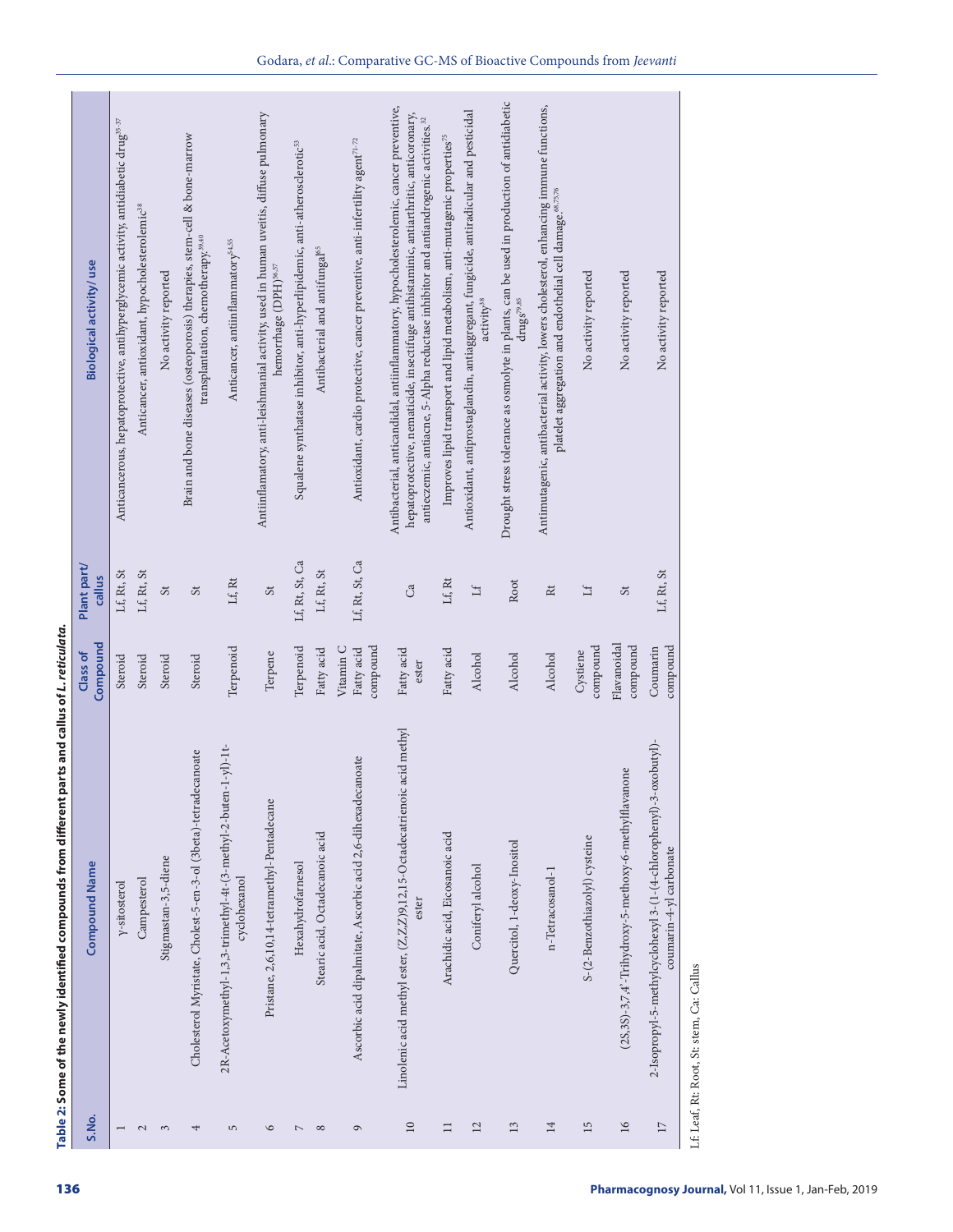| Plant part/<br>Lf, Rt, St<br>$\mathbf{L} \mathbf{f}, \mathbf{R} \mathbf{t}, \mathbf{S} \mathbf{t}$<br>callus<br>$\mathfrak{S}$<br>Compound<br>Class of<br>Steroid<br>Steroid<br>Steroid<br>Stigmastan-3,5-diene<br><b>Compound Name</b><br>Campesterol<br>y-sitosterol<br>S.No.<br>$\mathcal{L}$<br>$\mathfrak{S}$<br>$\overline{ }$ | Biological activity/use                                                                                                                                                                                                                                                              |
|--------------------------------------------------------------------------------------------------------------------------------------------------------------------------------------------------------------------------------------------------------------------------------------------------------------------------------------|--------------------------------------------------------------------------------------------------------------------------------------------------------------------------------------------------------------------------------------------------------------------------------------|
|                                                                                                                                                                                                                                                                                                                                      |                                                                                                                                                                                                                                                                                      |
|                                                                                                                                                                                                                                                                                                                                      | Anticancerous, hepatoprotective, antihyperglycemic activity, antidiabetic drug <sup>35-37</sup>                                                                                                                                                                                      |
|                                                                                                                                                                                                                                                                                                                                      | Anticancer, antioxidant, hypocholesterolemic <sup>38</sup>                                                                                                                                                                                                                           |
|                                                                                                                                                                                                                                                                                                                                      | No activity reported                                                                                                                                                                                                                                                                 |
| St<br>Steroid<br>Cholesterol Myristate, Cholest-5-en-3-ol (3beta)-tetradecanoate<br>4                                                                                                                                                                                                                                                | Brain and bone diseases (osteoporosis) therapies, stem-cell & bone-marrow<br>transplantation, chemotherapy. <sup>39,40</sup>                                                                                                                                                         |
| $\mathop{\rm Lf}\nolimits$ Rt<br>Terpenoid<br>2R-Acetoxymethyl-1,3,3-trimethyl-4t-(3-methyl-2-buten-1-yl)-1t-<br>cyclohexanol<br>$\overline{5}$                                                                                                                                                                                      | Anticancer, antiinflammatory54,55                                                                                                                                                                                                                                                    |
| $\mathfrak{S}\mathfrak{t}$<br>Terpene<br>Pristane, 2,6,10,14-tetramethyl-Pentadecane<br>$\circ$                                                                                                                                                                                                                                      | Antiinflamatory, anti-leishmanial activity, used in human uveitis, diffuse pulmonary<br>hemorrhage (DPH)56,57                                                                                                                                                                        |
| Lf, Rt, St, Ca<br>Terpenoid<br>Hexahydrofarnesol<br>$\mathord{\sim}$                                                                                                                                                                                                                                                                 | Squalene synthatase inhibitor, anti-hyperlipidemic, anti-atherosclerotic <sup>53</sup>                                                                                                                                                                                               |
| Lf, Rt, St<br>Fatty acid<br>Stearic acid, Octadecanoic acid<br>$\infty$                                                                                                                                                                                                                                                              | Antibacterial and antifungal <sup>65</sup>                                                                                                                                                                                                                                           |
| Lf, Rt, St, Ca<br>compound<br>Vitamin C<br>Fatty acid<br>Ascorbic acid dipalmitate, Ascorbic acid 2,6-dihexadecanoate<br>$\circ$                                                                                                                                                                                                     | Antioxidant, cardio protective, cancer preventive, anti-infertility agent71-72                                                                                                                                                                                                       |
| Ca<br>Fatty acid<br>ester<br>Linolenic acid methyl ester, (Z,Z,Z)9,12,15-Octadecatrienoic acid methyl<br>ester<br>$10\,$                                                                                                                                                                                                             | Antibacterial, anticandidal, antiinflammatory, hypocholesterolemic, cancer preventive,<br>hepatoprotective, nematicide, insectifuge antihistaminic, antiarthritic, antio<br>conary, antieczemic, antiacne, 5-Alpha reductase inhibitor and antia<br>ndrogenic activities. $\rm ^{2}$ |
| $\mathop{\rm Lf}\nolimits$ Rt<br>Fatty acid<br>Arachidic acid, Eicosanoic acid<br>$\Box$                                                                                                                                                                                                                                             | Improves lipid transport and lipid metabolism, anti-mutagenic properties <sup>75</sup>                                                                                                                                                                                               |
| $\mathop{\rm If}\nolimits$<br>Alcohol<br>Coniferyl alcohol<br>$\overline{12}$                                                                                                                                                                                                                                                        | Antioxidant, antiprostaglandin, antiaggregant, fungicide, antiradicular and pesticidal<br>activity <sup>38</sup>                                                                                                                                                                     |
| Root<br>Alcohol<br>Quercitol, 1-deoxy-Inositol<br>$13$                                                                                                                                                                                                                                                                               | Drought stress tolerance as osmolyte in plants, can be used in production of antidiabetic<br>$\rm{drug}s^{\rm{79,85}}$                                                                                                                                                               |
| $\rm Rt$<br>Alcohol<br>n-Tetracosanol-1<br>14                                                                                                                                                                                                                                                                                        | Antimutagenic, antibacterial activity, lowers cholesterol, enhancing immune functions,<br>platelet aggregation and endothelial cell damage. <sup>68,75,76</sup>                                                                                                                      |
| $\mathbb H$<br>compound<br>Cystiene<br>S-(2-Benzothiazolyl) cysteine<br>15                                                                                                                                                                                                                                                           | No activity reported                                                                                                                                                                                                                                                                 |
| $\mathfrak{S}\mathfrak{t}$<br>Flavanoidal<br>compound<br>(2S,3S)-3,7,4'-Trihydroxy-5-methoxy-6-methylflavanone<br>16                                                                                                                                                                                                                 | No activity reported                                                                                                                                                                                                                                                                 |
| Lf, Rt, St<br>Coumarin<br>compound<br>oxobutyl)-<br>2-Isopropyl-5-methylcyclohexyl 3-(1-(4-chlorophenyl)-3-<br>coumarin-4-yl carbonate<br>$1\,$                                                                                                                                                                                      | No activity reported                                                                                                                                                                                                                                                                 |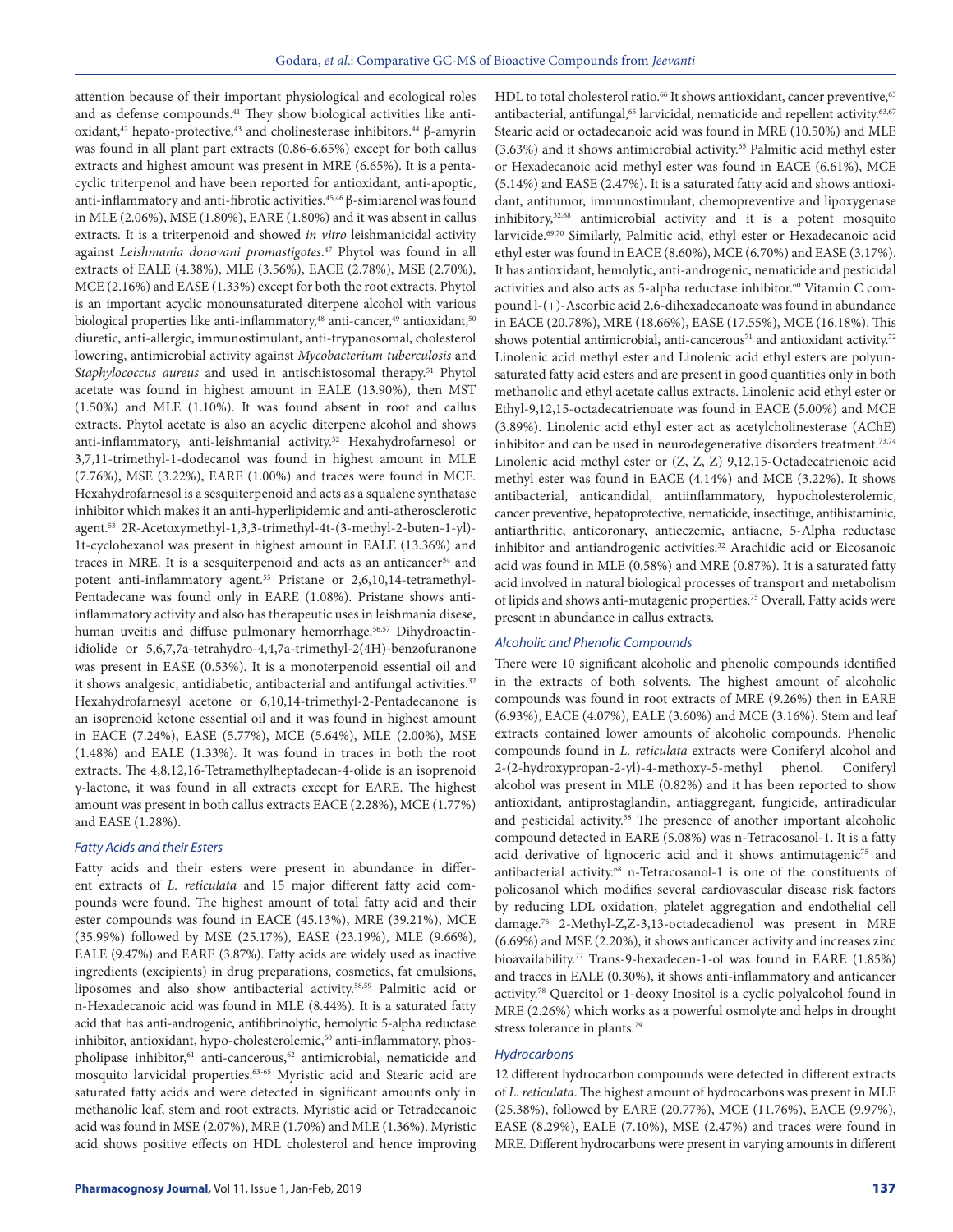attention because of their important physiological and ecological roles and as defense compounds.41 They show biological activities like antioxidant,<sup>42</sup> hepato-protective,<sup>43</sup> and cholinesterase inhibitors.<sup>44</sup> β-amyrin was found in all plant part extracts (0.86-6.65%) except for both callus extracts and highest amount was present in MRE (6.65%). It is a pentacyclic triterpenol and have been reported for antioxidant, anti-apoptic, anti-inflammatory and anti-fibrotic activities.<sup>45,46</sup> β-simiarenol was found in MLE (2.06%), MSE (1.80%), EARE (1.80%) and it was absent in callus extracts. It is a triterpenoid and showed *in vitro* leishmanicidal activity against *Leishmania donovani promastigotes*. 47 Phytol was found in all extracts of EALE (4.38%), MLE (3.56%), EACE (2.78%), MSE (2.70%), MCE (2.16%) and EASE (1.33%) except for both the root extracts. Phytol is an important acyclic monounsaturated diterpene alcohol with various biological properties like anti-inflammatory,<sup>48</sup> anti-cancer,<sup>49</sup> antioxidant,<sup>50</sup> diuretic, anti-allergic, immunostimulant, anti-trypanosomal, cholesterol lowering, antimicrobial activity against *Mycobacterium tuberculosis* and *Staphylococcus aureus* and used in antischistosomal therapy.51 Phytol acetate was found in highest amount in EALE (13.90%), then MST (1.50%) and MLE (1.10%). It was found absent in root and callus extracts. Phytol acetate is also an acyclic diterpene alcohol and shows anti-inflammatory, anti-leishmanial activity.52 Hexahydrofarnesol or 3,7,11-trimethyl-1-dodecanol was found in highest amount in MLE (7.76%), MSE (3.22%), EARE (1.00%) and traces were found in MCE. Hexahydrofarnesol is a sesquiterpenoid and acts as a squalene synthatase inhibitor which makes it an anti-hyperlipidemic and anti-atherosclerotic agent.53 2R-Acetoxymethyl-1,3,3-trimethyl-4t-(3-methyl-2-buten-1-yl)- 1t-cyclohexanol was present in highest amount in EALE (13.36%) and traces in MRE. It is a sesquiterpenoid and acts as an anticancer<sup>54</sup> and potent anti-inflammatory agent.<sup>55</sup> Pristane or 2,6,10,14-tetramethyl-Pentadecane was found only in EARE (1.08%). Pristane shows antiinflammatory activity and also has therapeutic uses in leishmania disese, human uveitis and diffuse pulmonary hemorrhage.<sup>56,57</sup> Dihydroactinidiolide or 5,6,7,7a-tetrahydro-4,4,7a-trimethyl-2(4H)-benzofuranone was present in EASE (0.53%). It is a monoterpenoid essential oil and it shows analgesic, antidiabetic, antibacterial and antifungal activities.<sup>32</sup> Hexahydrofarnesyl acetone or 6,10,14-trimethyl-2-Pentadecanone is an isoprenoid ketone essential oil and it was found in highest amount in EACE (7.24%), EASE (5.77%), MCE (5.64%), MLE (2.00%), MSE (1.48%) and EALE (1.33%). It was found in traces in both the root extracts. The 4,8,12,16-Tetramethylheptadecan-4-olide is an isoprenoid γ-lactone, it was found in all extracts except for EARE. The highest amount was present in both callus extracts EACE (2.28%), MCE (1.77%) and EASE (1.28%).

#### *Fatty Acids and their Esters*

Fatty acids and their esters were present in abundance in different extracts of *L. reticulata* and 15 major different fatty acid compounds were found. The highest amount of total fatty acid and their ester compounds was found in EACE (45.13%), MRE (39.21%), MCE (35.99%) followed by MSE (25.17%), EASE (23.19%), MLE (9.66%), EALE (9.47%) and EARE (3.87%). Fatty acids are widely used as inactive ingredients (excipients) in drug preparations, cosmetics, fat emulsions, liposomes and also show antibacterial activity.58,59 Palmitic acid or n-Hexadecanoic acid was found in MLE (8.44%). It is a saturated fatty acid that has anti-androgenic, antifibrinolytic, hemolytic 5-alpha reductase inhibitor, antioxidant, hypo-cholesterolemic,<sup>60</sup> anti-inflammatory, phospholipase inhibitor,<sup>61</sup> anti-cancerous,<sup>62</sup> antimicrobial, nematicide and mosquito larvicidal properties.<sup>63-65</sup> Myristic acid and Stearic acid are saturated fatty acids and were detected in significant amounts only in methanolic leaf, stem and root extracts. Myristic acid or Tetradecanoic acid was found in MSE (2.07%), MRE (1.70%) and MLE (1.36%). Myristic acid shows positive effects on HDL cholesterol and hence improving

HDL to total cholesterol ratio.<sup>66</sup> It shows antioxidant, cancer preventive,<sup>63</sup> antibacterial, antifungal,<sup>65</sup> larvicidal, nematicide and repellent activity.<sup>63,67</sup> Stearic acid or octadecanoic acid was found in MRE (10.50%) and MLE (3.63%) and it shows antimicrobial activity.65 Palmitic acid methyl ester or Hexadecanoic acid methyl ester was found in EACE (6.61%), MCE (5.14%) and EASE (2.47%). It is a saturated fatty acid and shows antioxidant, antitumor, immunostimulant, chemopreventive and lipoxygenase inhibitory,32,68 antimicrobial activity and it is a potent mosquito larvicide.69,70 Similarly, Palmitic acid, ethyl ester or Hexadecanoic acid ethyl ester was found in EACE (8.60%), MCE (6.70%) and EASE (3.17%). It has antioxidant, hemolytic, anti-androgenic, nematicide and pesticidal activities and also acts as 5-alpha reductase inhibitor.<sup>60</sup> Vitamin C compound l-(+)-Ascorbic acid 2,6-dihexadecanoate was found in abundance in EACE (20.78%), MRE (18.66%), EASE (17.55%), MCE (16.18%). This shows potential antimicrobial, anti-cancerous<sup>71</sup> and antioxidant activity.<sup>72</sup> Linolenic acid methyl ester and Linolenic acid ethyl esters are polyunsaturated fatty acid esters and are present in good quantities only in both methanolic and ethyl acetate callus extracts. Linolenic acid ethyl ester or Ethyl-9,12,15-octadecatrienoate was found in EACE (5.00%) and MCE (3.89%). Linolenic acid ethyl ester act as acetylcholinesterase (AChE) inhibitor and can be used in neurodegenerative disorders treatment.<sup>73,74</sup> Linolenic acid methyl ester or (Z, Z, Z) 9,12,15-Octadecatrienoic acid methyl ester was found in EACE (4.14%) and MCE (3.22%). It shows antibacterial, anticandidal, antiinflammatory, hypocholesterolemic, cancer preventive, hepatoprotective, nematicide, insectifuge, antihistaminic, antiarthritic, anticoronary, antieczemic, antiacne, 5-Alpha reductase inhibitor and antiandrogenic activities.<sup>32</sup> Arachidic acid or Eicosanoic acid was found in MLE (0.58%) and MRE (0.87%). It is a saturated fatty acid involved in natural biological processes of transport and metabolism of lipids and shows anti-mutagenic properties.75 Overall, Fatty acids were present in abundance in callus extracts.

#### *Alcoholic and Phenolic Compounds*

There were 10 significant alcoholic and phenolic compounds identified in the extracts of both solvents. The highest amount of alcoholic compounds was found in root extracts of MRE (9.26%) then in EARE (6.93%), EACE (4.07%), EALE (3.60%) and MCE (3.16%). Stem and leaf extracts contained lower amounts of alcoholic compounds. Phenolic compounds found in *L. reticulata* extracts were Coniferyl alcohol and 2-(2-hydroxypropan-2-yl)-4-methoxy-5-methyl phenol. Coniferyl alcohol was present in MLE (0.82%) and it has been reported to show antioxidant, antiprostaglandin, antiaggregant, fungicide, antiradicular and pesticidal activity.<sup>38</sup> The presence of another important alcoholic compound detected in EARE (5.08%) was n-Tetracosanol-1. It is a fatty acid derivative of lignoceric acid and it shows antimutagenic<sup>75</sup> and antibacterial activity.68 n-Tetracosanol-1 is one of the constituents of policosanol which modifies several cardiovascular disease risk factors by reducing LDL oxidation, platelet aggregation and endothelial cell damage.76 2-Methyl-Z,Z-3,13-octadecadienol was present in MRE (6.69%) and MSE (2.20%), it shows anticancer activity and increases zinc bioavailability.77 Trans-9-hexadecen-1-ol was found in EARE (1.85%) and traces in EALE (0.30%), it shows anti-inflammatory and anticancer activity.78 Quercitol or 1-deoxy Inositol is a cyclic polyalcohol found in MRE (2.26%) which works as a powerful osmolyte and helps in drought stress tolerance in plants.79

#### *Hydrocarbons*

12 different hydrocarbon compounds were detected in different extracts of *L. reticulata*. The highest amount of hydrocarbons was present in MLE (25.38%), followed by EARE (20.77%), MCE (11.76%), EACE (9.97%), EASE (8.29%), EALE (7.10%), MSE (2.47%) and traces were found in MRE. Different hydrocarbons were present in varying amounts in different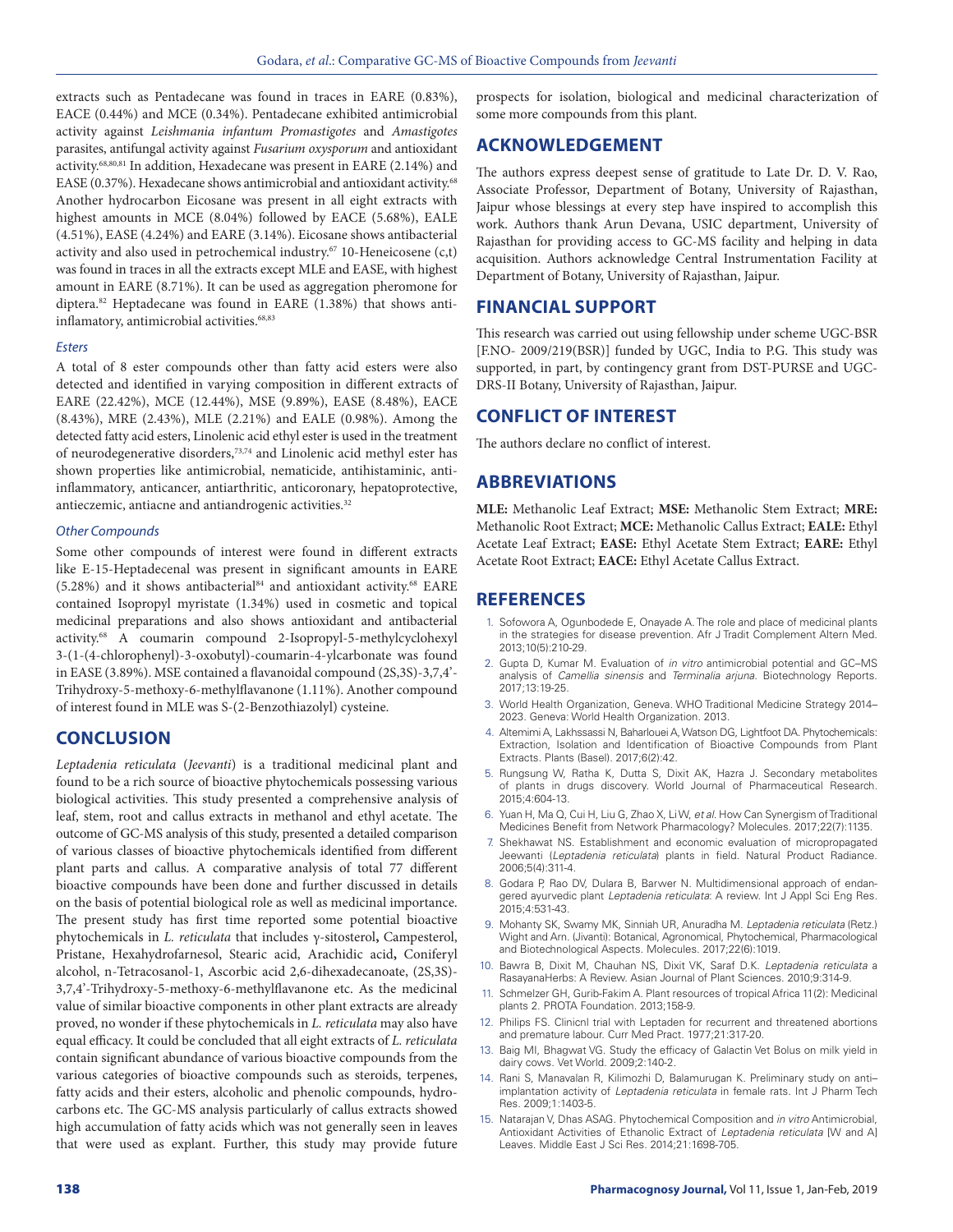extracts such as Pentadecane was found in traces in EARE (0.83%), EACE (0.44%) and MCE (0.34%). Pentadecane exhibited antimicrobial activity against *Leishmania infantum Promastigotes* and *Amastigotes* parasites, antifungal activity against *Fusarium oxysporum* and antioxidant activity.68,80,81 In addition, Hexadecane was present in EARE (2.14%) and EASE (0.37%). Hexadecane shows antimicrobial and antioxidant activity.<sup>68</sup> Another hydrocarbon Eicosane was present in all eight extracts with highest amounts in MCE (8.04%) followed by EACE (5.68%), EALE (4.51%), EASE (4.24%) and EARE (3.14%). Eicosane shows antibacterial activity and also used in petrochemical industry.67 10-Heneicosene (c,t) was found in traces in all the extracts except MLE and EASE, with highest amount in EARE (8.71%). It can be used as aggregation pheromone for diptera.82 Heptadecane was found in EARE (1.38%) that shows antiinflamatory, antimicrobial activities.<sup>68,83</sup>

#### *Esters*

A total of 8 ester compounds other than fatty acid esters were also detected and identified in varying composition in different extracts of EARE (22.42%), MCE (12.44%), MSE (9.89%), EASE (8.48%), EACE (8.43%), MRE (2.43%), MLE (2.21%) and EALE (0.98%). Among the detected fatty acid esters, Linolenic acid ethyl ester is used in the treatment of neurodegenerative disorders,73,74 and Linolenic acid methyl ester has shown properties like antimicrobial, nematicide, antihistaminic, antiinflammatory, anticancer, antiarthritic, anticoronary, hepatoprotective, antieczemic, antiacne and antiandrogenic activities.<sup>32</sup>

#### *Other Compounds*

Some other compounds of interest were found in different extracts like E-15-Heptadecenal was present in significant amounts in EARE (5.28%) and it shows antibacterial<sup>84</sup> and antioxidant activity.<sup>68</sup> EARE contained Isopropyl myristate (1.34%) used in cosmetic and topical medicinal preparations and also shows antioxidant and antibacterial activity.68 A coumarin compound 2-Isopropyl-5-methylcyclohexyl 3-(1-(4-chlorophenyl)-3-oxobutyl)-coumarin-4-ylcarbonate was found in EASE (3.89%). MSE contained a flavanoidal compound (2S,3S)-3,7,4'- Trihydroxy-5-methoxy-6-methylflavanone (1.11%). Another compound of interest found in MLE was S-(2-Benzothiazolyl) cysteine.

# **CONCLUSION**

*Leptadenia reticulata* (*Jeevanti*) is a traditional medicinal plant and found to be a rich source of bioactive phytochemicals possessing various biological activities. This study presented a comprehensive analysis of leaf, stem, root and callus extracts in methanol and ethyl acetate. The outcome of GC-MS analysis of this study, presented a detailed comparison of various classes of bioactive phytochemicals identified from different plant parts and callus. A comparative analysis of total 77 different bioactive compounds have been done and further discussed in details on the basis of potential biological role as well as medicinal importance. The present study has first time reported some potential bioactive phytochemicals in *L. reticulata* that includes γ-sitosterol**,** Campesterol, Pristane, Hexahydrofarnesol, Stearic acid, Arachidic acid**,** Coniferyl alcohol, n-Tetracosanol-1, Ascorbic acid 2,6-dihexadecanoate, (2S,3S)- 3,7,4'-Trihydroxy-5-methoxy-6-methylflavanone etc. As the medicinal value of similar bioactive components in other plant extracts are already proved, no wonder if these phytochemicals in *L. reticulata* may also have equal efficacy. It could be concluded that all eight extracts of *L. reticulata*  contain significant abundance of various bioactive compounds from the various categories of bioactive compounds such as steroids, terpenes, fatty acids and their esters, alcoholic and phenolic compounds, hydrocarbons etc. The GC-MS analysis particularly of callus extracts showed high accumulation of fatty acids which was not generally seen in leaves that were used as explant. Further, this study may provide future

prospects for isolation, biological and medicinal characterization of some more compounds from this plant.

# **ACKNOWLEDGEMENT**

The authors express deepest sense of gratitude to Late Dr. D. V. Rao, Associate Professor, Department of Botany, University of Rajasthan, Jaipur whose blessings at every step have inspired to accomplish this work. Authors thank Arun Devana, USIC department, University of Rajasthan for providing access to GC-MS facility and helping in data acquisition. Authors acknowledge Central Instrumentation Facility at Department of Botany, University of Rajasthan, Jaipur.

# **FINANCIAL SUPPORT**

This research was carried out using fellowship under scheme UGC-BSR [F.NO- 2009/219(BSR)] funded by UGC, India to P.G. This study was supported, in part, by contingency grant from DST-PURSE and UGC-DRS-II Botany, University of Rajasthan, Jaipur.

# **CONFLICT OF INTEREST**

The authors declare no conflict of interest.

# **ABBREVIATIONS**

**MLE:** Methanolic Leaf Extract; **MSE:** Methanolic Stem Extract; **MRE:**  Methanolic Root Extract; **MCE:** Methanolic Callus Extract; **EALE:** Ethyl Acetate Leaf Extract; **EASE:** Ethyl Acetate Stem Extract; **EARE:** Ethyl Acetate Root Extract; **EACE:** Ethyl Acetate Callus Extract.

# **REFERENCES**

- 1. Sofowora A, Ogunbodede E, Onayade A. The role and place of medicinal plants in the strategies for disease prevention. Afr J Tradit Complement Altern Med. 2013;10(5):210-29.
- 2. Gupta D, Kumar M. Evaluation of *in vitro* antimicrobial potential and GC–MS analysis of *Camellia sinensis* and *Terminalia arjuna*. Biotechnology Reports. 2017;13:19-25.
- 3. World Health Organization, Geneva. WHO Traditional Medicine Strategy 2014– 2023. Geneva: World Health Organization. 2013.
- 4. Altemimi A, Lakhssassi N, Baharlouei A, Watson DG, Lightfoot DA. Phytochemicals: Extraction, Isolation and Identification of Bioactive Compounds from Plant Extracts. Plants (Basel). 2017;6(2):42.
- 5. Rungsung W, Ratha K, Dutta S, Dixit AK, Hazra J. Secondary metabolites of plants in drugs discovery. World Journal of Pharmaceutical Research. 2015;4:604-13.
- 6. Yuan H, Ma Q, Cui H, Liu G, Zhao X, Li W, *et al*. How Can Synergism of Traditional Medicines Benefit from Network Pharmacology? Molecules. 2017;22(7):1135.
- 7. Shekhawat NS. Establishment and economic evaluation of micropropagated Jeewanti (*Leptadenia reticulata*) plants in field. Natural Product Radiance. 2006;5(4):311-4.
- 8. Godara P, Rao DV, Dulara B, Barwer N. Multidimensional approach of endangered ayurvedic plant *Leptadenia reticulata*: A review. Int J Appl Sci Eng Res. 2015;4:531-43.
- 9. Mohanty SK, Swamy MK, Sinniah UR, Anuradha M. *Leptadenia reticulata* (Retz.) Wight and Arn. (Jivanti): Botanical, Agronomical, Phytochemical, Pharmacological and Biotechnological Aspects. Molecules. 2017;22(6):1019.
- 10. Bawra B, Dixit M, Chauhan NS, Dixit VK, Saraf D.K. *Leptadenia reticulata* a RasayanaHerbs: A Review. Asian Journal of Plant Sciences. 2010;9:314-9.
- 11. Schmelzer GH, Gurib-Fakim A. Plant resources of tropical Africa 11(2): Medicinal plants 2. PROTA Foundation. 2013;158-9.
- 12. Philips FS. Clinicnl trial with Leptaden for recurrent and threatened abortions and premature labour. Curr Med Pract. 1977;21:317-20.
- 13. Baig MI, Bhagwat VG. Study the efficacy of Galactin Vet Bolus on milk yield in dairy cows. Vet World. 2009;2:140-2.
- 14. Rani S, Manavalan R, Kilimozhi D, Balamurugan K. Preliminary study on anti– implantation activity of *Leptadenia reticulata* in female rats. Int J Pharm Tech Res. 2009;1:1403-5.
- 15. Natarajan V, Dhas ASAG. Phytochemical Composition and *in vitro* Antimicrobial, Antioxidant Activities of Ethanolic Extract of *Leptadenia reticulata* [W and A] Leaves. Middle East J Sci Res. 2014;21:1698-705.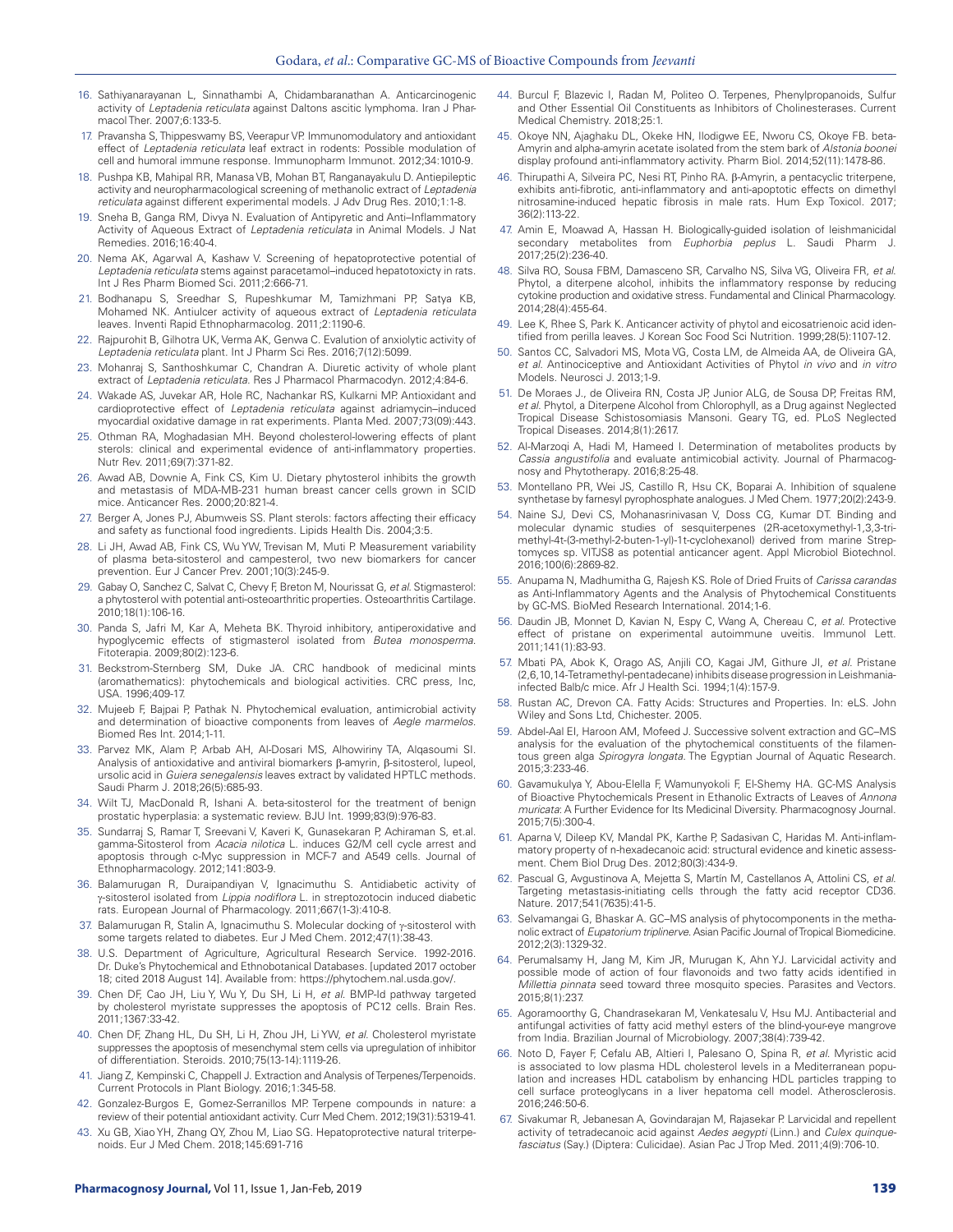- 16. Sathiyanarayanan L, Sinnathambi A, Chidambaranathan A. Anticarcinogenic activity of *Leptadenia reticulata* against Daltons ascitic lymphoma. Iran J Pharmacol Ther. 2007;6:133-5.
- 17. Pravansha S, Thippeswamy BS, Veerapur VP. Immunomodulatory and antioxidant effect of *Leptadenia reticulata* leaf extract in rodents: Possible modulation of cell and humoral immune response. Immunopharm Immunot. 2012;34:1010-9.
- 18. Pushpa KB, Mahipal RR, Manasa VB, Mohan BT, Ranganayakulu D. Antiepileptic activity and neuropharmacological screening of methanolic extract of *Leptadenia reticulata* against different experimental models. J Adv Drug Res. 2010;1:1-8.
- 19. Sneha B, Ganga RM, Divya N. Evaluation of Antipyretic and Anti–Inflammatory Activity of Aqueous Extract of *Leptadenia reticulata* in Animal Models. J Nat Remedies. 2016;16:40-4.
- 20. Nema AK, Agarwal A, Kashaw V. Screening of hepatoprotective potential of *Leptadenia reticulata* stems against paracetamol–induced hepatotoxicty in rats. Int J Res Pharm Biomed Sci. 2011;2:666-71.
- 21. Bodhanapu S, Sreedhar S, Rupeshkumar M, Tamizhmani PP, Satya KB, Mohamed NK. Antiulcer activity of aqueous extract of *Leptadenia reticulata* leaves. Inventi Rapid Ethnopharmacolog. 2011;2:1190-6.
- 22. Rajpurohit B, Gilhotra UK, Verma AK, Genwa C. Evalution of anxiolytic activity of *Leptadenia reticulata* plant. Int J Pharm Sci Res. 2016;7(12):5099.
- 23. Mohanraj S, Santhoshkumar C, Chandran A. Diuretic activity of whole plant extract of *Leptadenia reticulata*. Res J Pharmacol Pharmacodyn. 2012;4:84-6.
- 24. Wakade AS, Juvekar AR, Hole RC, Nachankar RS, Kulkarni MP. Antioxidant and cardioprotective effect of *Leptadenia reticulata* against adriamycin–induced myocardial oxidative damage in rat experiments. Planta Med. 2007;73(09):443.
- 25. Othman RA, Moghadasian MH. Beyond cholesterol-lowering effects of plant sterols: clinical and experimental evidence of anti-inflammatory properties. Nutr Rev. 2011;69(7):371-82.
- 26. Awad AB, Downie A, Fink CS, Kim U. Dietary phytosterol inhibits the growth and metastasis of MDA-MB-231 human breast cancer cells grown in SCID mice. Anticancer Res. 2000;20:821-4.
- 27. Berger A, Jones PJ, Abumweis SS. Plant sterols: factors affecting their efficacy and safety as functional food ingredients. Lipids Health Dis. 2004;3:5.
- 28. Li JH, Awad AB, Fink CS, Wu YW, Trevisan M, Muti P. Measurement variability of plasma beta-sitosterol and campesterol, two new biomarkers for cancer prevention. Eur J Cancer Prev. 2001;10(3):245-9.
- 29. Gabay O, Sanchez C, Salvat C, Chevy F, Breton M, Nourissat G, *et al*. Stigmasterol: a phytosterol with potential anti-osteoarthritic properties. Osteoarthritis Cartilage. 2010;18(1):106-16.
- 30. Panda S, Jafri M, Kar A, Meheta BK. Thyroid inhibitory, antiperoxidative and hypoglycemic effects of stigmasterol isolated from *Butea monosperma*. Fitoterapia. 2009;80(2):123-6.
- 31. Beckstrom-Sternberg SM, Duke JA. CRC handbook of medicinal mints (aromathematics): phytochemicals and biological activities. CRC press, Inc, USA. 1996;409-17.
- 32. Mujeeb F, Bajpai P, Pathak N. Phytochemical evaluation, antimicrobial activity and determination of bioactive components from leaves of *Aegle marmelos*. Biomed Res Int. 2014;1-11.
- 33. Parvez MK, Alam P, Arbab AH, Al-Dosari MS, Alhowiriny TA, Alqasoumi SI. Analysis of antioxidative and antiviral biomarkers β-amyrin, β-sitosterol, lupeol, ursolic acid in *Guiera senegalensis* leaves extract by validated HPTLC methods. Saudi Pharm J. 2018;26(5):685-93.
- 34. Wilt TJ, MacDonald R, Ishani A. beta-sitosterol for the treatment of benign prostatic hyperplasia: a systematic review. BJU Int. 1999;83(9):976-83.
- 35. Sundarraj S, Ramar T, Sreevani V, Kaveri K, Gunasekaran P, Achiraman S, et.al. gamma-Sitosterol from *Acacia nilotica* L. induces G2/M cell cycle arrest and apoptosis through c-Myc suppression in MCF-7 and A549 cells. Journal of Ethnopharmacology. 2012;141:803-9.
- 36. Balamurugan R, Duraipandiyan V, Ignacimuthu S. Antidiabetic activity of γ-sitosterol isolated from *Lippia nodiflora* L. in streptozotocin induced diabetic rats. European Journal of Pharmacology. 2011;667(1-3):410-8.
- 37. Balamurugan R, Stalin A, Ignacimuthu S. Molecular docking of γ-sitosterol with some targets related to diabetes. Eur J Med Chem. 2012;47(1):38-43.
- 38. U.S. Department of Agriculture, Agricultural Research Service. 1992-2016. Dr. Duke's Phytochemical and Ethnobotanical Databases. [updated 2017 october 18; cited 2018 August 14]. Available from: https://phytochem.nal.usda.gov/.
- 39. Chen DF, Cao JH, Liu Y, Wu Y, Du SH, Li H, *et al*. BMP-Id pathway targeted by cholesterol myristate suppresses the apoptosis of PC12 cells. Brain Res. 2011;1367:33-42.
- 40. Chen DF, Zhang HL, Du SH, Li H, Zhou JH, Li YW, *et al*. Cholesterol myristate suppresses the apoptosis of mesenchymal stem cells via upregulation of inhibitor of differentiation. Steroids. 2010;75(13-14):1119-26.
- 41. Jiang Z, Kempinski C, Chappell J. Extraction and Analysis of Terpenes/Terpenoids. Current Protocols in Plant Biology. 2016;1:345-58.
- 42. Gonzalez-Burgos E, Gomez-Serranillos MP. Terpene compounds in nature: a review of their potential antioxidant activity. Curr Med Chem. 2012;19(31):5319-41.
- 43. Xu GB, Xiao YH, Zhang QY, Zhou M, Liao SG. Hepatoprotective natural triterpenoids. Eur J Med Chem. 2018;145:691-716
- 44. Burcul F, Blazevic I, Radan M, Politeo O. Terpenes, Phenylpropanoids, Sulfur and Other Essential Oil Constituents as Inhibitors of Cholinesterases. Current Medical Chemistry. 2018;25:1.
- 45. Okoye NN, Ajaghaku DL, Okeke HN, Ilodigwe EE, Nworu CS, Okoye FB. beta-Amyrin and alpha-amyrin acetate isolated from the stem bark of *Alstonia boonei* display profound anti-inflammatory activity. Pharm Biol. 2014;52(11):1478-86.
- 46. Thirupathi A, Silveira PC, Nesi RT, Pinho RA. β-Amyrin, a pentacyclic triterpene, exhibits anti-fibrotic, anti-inflammatory and anti-apoptotic effects on dimethyl nitrosamine-induced hepatic fibrosis in male rats. Hum Exp Toxicol. 2017; 36(2):113-22.
- 47. Amin E, Moawad A, Hassan H. Biologically-guided isolation of leishmanicidal secondary metabolites from *Euphorbia peplus* L. Saudi Pharm J. 2017;25(2):236-40.
- 48. Silva RO, Sousa FBM, Damasceno SR, Carvalho NS, Silva VG, Oliveira FR, *et al*. Phytol, a diterpene alcohol, inhibits the inflammatory response by reducing cytokine production and oxidative stress. Fundamental and Clinical Pharmacology. 2014;28(4):455-64.
- 49. Lee K, Rhee S, Park K. Anticancer activity of phytol and eicosatrienoic acid identified from perilla leaves. J Korean Soc Food Sci Nutrition. 1999;28(5):1107-12.
- 50. Santos CC, Salvadori MS, Mota VG, Costa LM, de Almeida AA, de Oliveira GA, *et al*. Antinociceptive and Antioxidant Activities of Phytol *in vivo* and *in vitro* Models. Neurosci J. 2013;1-9.
- 51. De Moraes J., de Oliveira RN, Costa JP, Junior ALG, de Sousa DP, Freitas RM, *et al*. Phytol, a Diterpene Alcohol from Chlorophyll, as a Drug against Neglected Tropical Disease Schistosomiasis Mansoni. Geary TG, ed. PLoS Neglected Tropical Diseases. 2014;8(1):2617.
- 52. Al-Marzoqi A, Hadi M, Hameed I. Determination of metabolites products by *Cassia angustifolia* and evaluate antimicobial activity. Journal of Pharmacognosy and Phytotherapy. 2016;8:25-48.
- 53. Montellano PR, Wei JS, Castillo R, Hsu CK, Boparai A. Inhibition of squalene synthetase by farnesyl pyrophosphate analogues. J Med Chem. 1977;20(2):243-9.
- 54. Naine SJ, Devi CS, Mohanasrinivasan V, Doss CG, Kumar DT. Binding and molecular dynamic studies of sesquiterpenes (2R-acetoxymethyl-1,3,3-trimethyl-4t-(3-methyl-2-buten-1-yl)-1t-cyclohexanol) derived from marine Streptomyces sp. VITJS8 as potential anticancer agent. Appl Microbiol Biotechnol. 2016;100(6):2869-82.
- 55. Anupama N, Madhumitha G, Rajesh KS. Role of Dried Fruits of *Carissa carandas* as Anti-Inflammatory Agents and the Analysis of Phytochemical Constituents by GC-MS. BioMed Research International. 2014;1-6.
- 56. Daudin JB, Monnet D, Kavian N, Espy C, Wang A, Chereau C, *et al.* Protective effect of pristane on experimental autoimmune uveitis. Immunol Lett. 2011;141(1):83-93.
- 57. Mbati PA, Abok K, Orago AS, Anjili CO, Kagai JM, Githure JI, *et al*. Pristane (2,6,10,14-Tetramethyl-pentadecane) inhibits disease progression in Leishmaniainfected Balb/c mice. Afr J Health Sci. 1994;1(4):157-9.
- 58. Rustan AC, Drevon CA. Fatty Acids: Structures and Properties. In: eLS. John Wiley and Sons Ltd, Chichester. 2005.
- 59. Abdel-Aal EI, Haroon AM, Mofeed J. Successive solvent extraction and GC–MS analysis for the evaluation of the phytochemical constituents of the filamentous green alga *Spirogyra longata*. The Egyptian Journal of Aquatic Research. 2015;3:233-46.
- 60. Gavamukulya Y, Abou-Elella F, Wamunyokoli F, El-Shemy HA. GC-MS Analysis of Bioactive Phytochemicals Present in Ethanolic Extracts of Leaves of *Annona muricata*: A Further Evidence for Its Medicinal Diversity. Pharmacognosy Journal. 2015;7(5):300-4.
- 61. Aparna V, Dileep KV, Mandal PK, Karthe P, Sadasivan C, Haridas M. Anti-inflammatory property of n-hexadecanoic acid: structural evidence and kinetic assessment. Chem Biol Drug Des. 2012;80(3):434-9.
- 62. Pascual G, Avgustinova A, Mejetta S, Martín M, Castellanos A, Attolini CS, *et al*. Targeting metastasis-initiating cells through the fatty acid receptor CD36. Nature. 2017;541(7635):41-5.
- 63. Selvamangai G, Bhaskar A. GC–MS analysis of phytocomponents in the methanolic extract of *Eupatorium triplinerve*. Asian Pacific Journal of Tropical Biomedicine. 2012;2(3):1329-32.
- 64. Perumalsamy H, Jang M, Kim JR, Murugan K, Ahn YJ. Larvicidal activity and possible mode of action of four flavonoids and two fatty acids identified in *Millettia pinnata* seed toward three mosquito species. Parasites and Vectors. 2015;8(1):237.
- 65. Agoramoorthy G, Chandrasekaran M, Venkatesalu V, Hsu MJ. Antibacterial and antifungal activities of fatty acid methyl esters of the blind-your-eye mangrove from India. Brazilian Journal of Microbiology. 2007;38(4):739-42.
- 66. Noto D, Fayer F, Cefalu AB, Altieri I, Palesano O, Spina R, *et al*. Myristic acid is associated to low plasma HDL cholesterol levels in a Mediterranean population and increases HDL catabolism by enhancing HDL particles trapping to cell surface proteoglycans in a liver hepatoma cell model. Atherosclerosis. 2016;246:50-6.
- 67. Sivakumar R, Jebanesan A, Govindarajan M, Rajasekar P. Larvicidal and repellent activity of tetradecanoic acid against *Aedes aegypti* (Linn.) and *Culex quinquefasciatus* (Say.) (Diptera: Culicidae). Asian Pac J Trop Med. 2011;4(9):706-10.